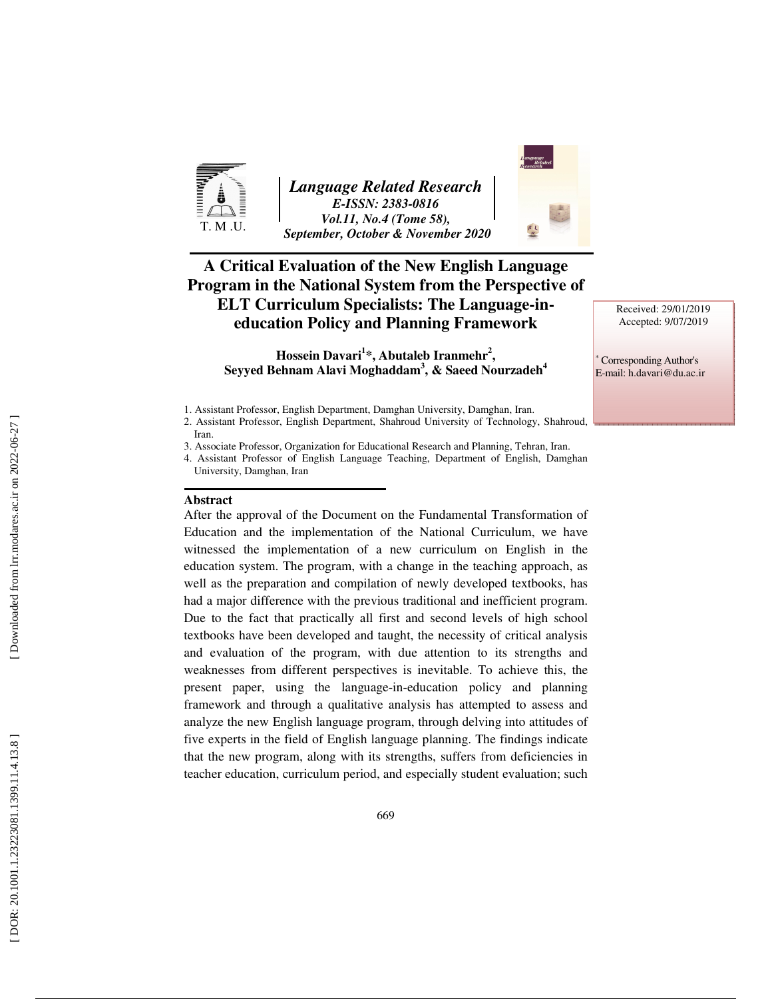

*Language Related Research E-ISSN: 2383-0816 Vol.11, No.4 (Tome 58), September, October & November 2020* 



**Hossein Davari 1 \*, Abutaleb Iranmehr 2 , Seyyed Behnam Alavi Moghaddam 3 , & Saeed Nourzadeh 4**

#### **Abstract**

After the approval of the Document on the Fundamental Transformation of Education and the implementation of the National Curriculum, we have witnessed the implementation of a new curriculum on English in the education system. The program, with a change in the teaching approach, as well as the preparation and compilation of newly developed textbooks, has had a major difference with the previous traditional and inefficient program. Due to the fact that practically all first and second levels of high school textbooks have been developed and taught, the necessity of critical analysis and evaluation of the program, with due attention to its strengths and weaknesses from different perspectives is inevitable. To achieve this, the present paper, using the language-in-education policy and planning framework and through a qualitative analysis has attempted to assess and analyze the new English language program, through delving into attitudes of five experts in the field of English language planning. The findings indicate that the new program, along with its strengths, suffers from deficiencies in teacher education, curriculum period, and especially student evaluation; such Received: 29/01/2019 Accepted: 9/07/2019

∗ Corresponding Author's E-mail: h.davari@du.ac.ir

<sup>1.</sup> Assistant Professor, English Department, Damghan University, Damghan, Iran.

<sup>2.</sup> Assistant Professor, English Department, Shahroud University of Technology, Shahroud, Iran.

<sup>3.</sup> Associate Professor, Organization for Educational Research and Planning, Tehran, Iran.

<sup>4.</sup> Assistant Professor of English Language Teaching, Department of English, Damghan University, Damghan, Iran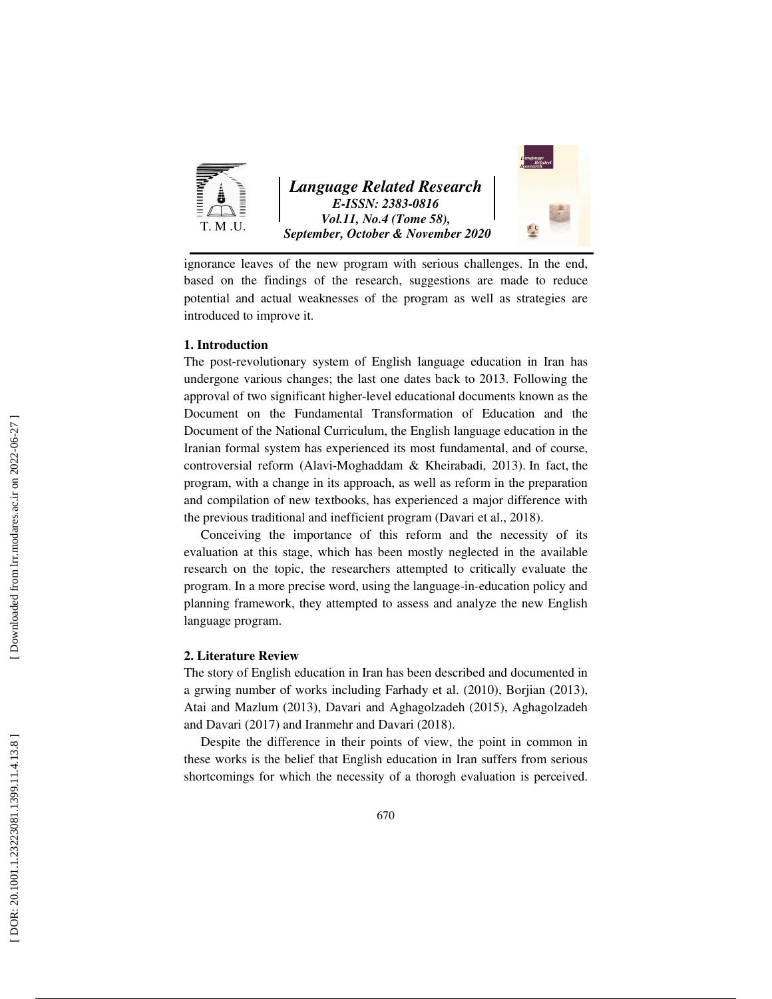

*Language Related Research E-ISSN: 2383-0816 Vol.11, No.4 (Tome 58), September, October & November 2020* 



ignorance leaves of the new program with serious challenges. In the end, based on the findings of the research, suggestions are made to reduce potential and actual weaknesses of the program as well as strategies are introduced to improve it.

#### **1. Introduction**

The post-revolutionary system of English language education in Iran has undergone various changes; the last one dates back to 2013. Following the approval of two significant higher-level educational documents known as the Document on the Fundamental Transformation of Education and the Document of the National Curriculum, the English language education in the Iranian formal system has experienced its most fundamental, and of course, controversial reform (Alavi-Moghaddam & Kheirabadi, 2013). In fact, the program, with a change in its approach, as well as reform in the preparation and compilation of new textbooks, has experienced a major difference with the previous traditional and inefficient program (Davari et al., 2018).

Conceiving the importance of this reform and the necessity of its evaluation at this stage, which has been mostly neglected in the available research on the topic, the researchers attempted to critically evaluate the program. In a more precise word, using the language-in-education policy and planning framework, they attempted to assess and analyze the new English language program.

#### **2. Literature Review**

The story of English education in Iran has been described and documented in a grwing number of works including Farhady et al. (2010), Borjian (2013), Atai and Mazlum (2013), Davari and Aghagolzadeh (2015), Aghagolzadeh and Davari (2017) and Iranmehr and Davari (2018).

Despite the difference in their points of view, the point in common in these works is the belief that English education in Iran suffers from serious shortcomings for which the necessity of a thorogh evaluation is perceived.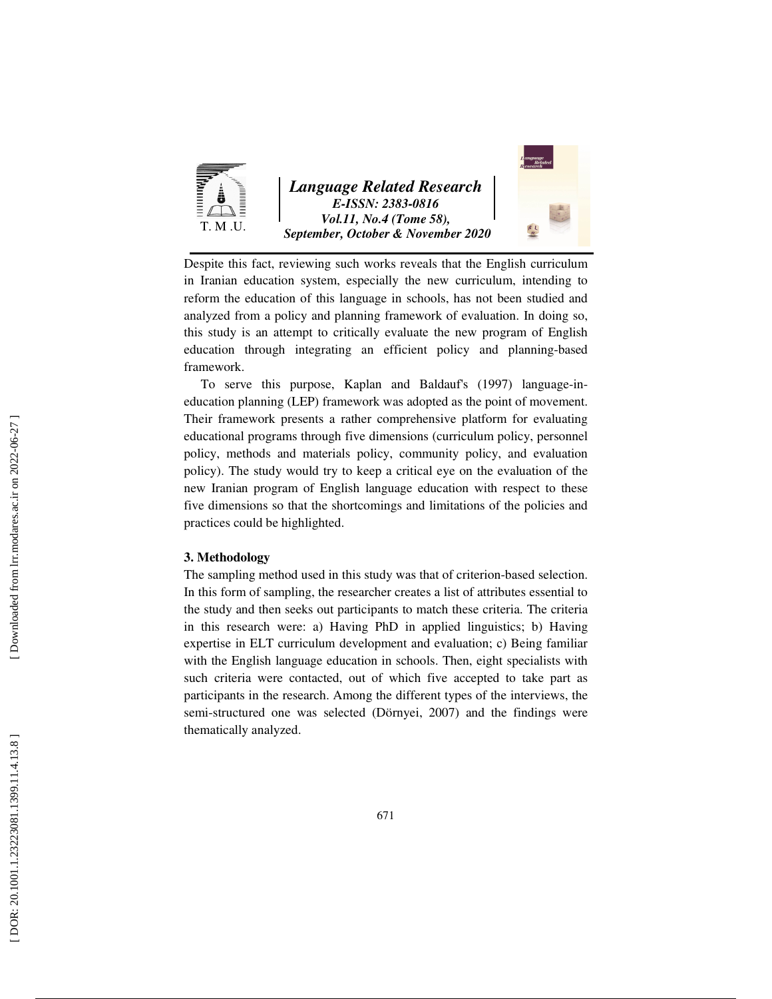

*Language Related Research E-ISSN: 2383-0816 Vol.11, No.4 (Tome 58), September, October & November 2020* 



Despite this fact, reviewing such works reveals that the English curriculum in Iranian education system, especially the new curriculum, intending to reform the education of this language in schools, has not been studied and analyzed from a policy and planning framework of evaluation. In doing so, this study is an attempt to critically evaluate the new program of English education through integrating an efficient policy and planning-based framework.

To serve this purpose, Kaplan and Baldauf's (1997) language-ineducation planning (LEP) framework was adopted as the point of movement. Their framework presents a rather comprehensive platform for evaluating educational programs through five dimensions (curriculum policy, personnel policy, methods and materials policy, community policy, and evaluation policy). The study would try to keep a critical eye on the evaluation of the new Iranian program of English language education with respect to these five dimensions so that the shortcomings and limitations of the policies and practices could be highlighted.

#### **3. Methodology**

The sampling method used in this study was that of criterion-based selection. In this form of sampling, the researcher creates a list of attributes essential to the study and then seeks out participants to match these criteria. The criteria in this research were: a) Having PhD in applied linguistics; b) Having expertise in ELT curriculum development and evaluation; c) Being familiar with the English language education in schools. Then, eight specialists with such criteria were contacted, out of which five accepted to take part as participants in the research. Among the different types of the interviews, the semi-structured one was selected (Dörnyei, 2007) and the findings were thematically analyzed.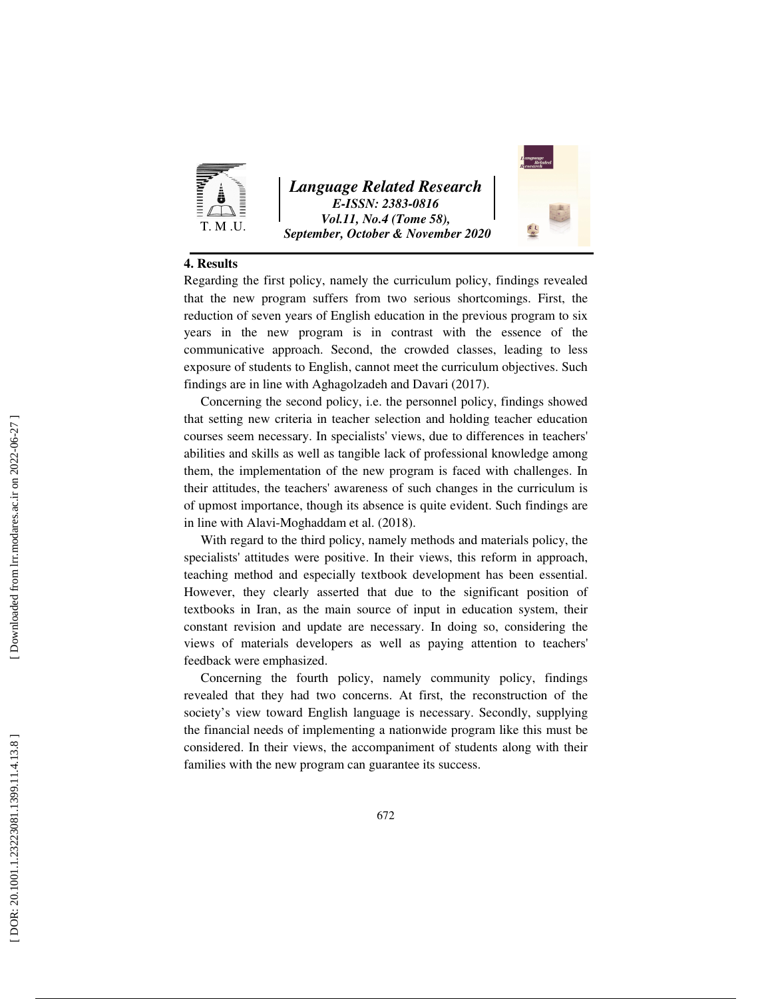

*Language Related Research E-ISSN: 2383-0816 Vol.11, No.4 (Tome 58), September, October & November 2020* 



#### **4. Results**

Regarding the first policy, namely the curriculum policy, findings revealed that the new program suffers from two serious shortcomings. First, the reduction of seven years of English education in the previous program to six years in the new program is in contrast with the essence of the communicative approach. Second, the crowded classes, leading to less exposure of students to English, cannot meet the curriculum objectives. Such findings are in line with Aghagolzadeh and Davari (2017).

Concerning the second policy, i.e. the personnel policy, findings showed that setting new criteria in teacher selection and holding teacher education courses seem necessary. In specialists' views, due to differences in teachers' abilities and skills as well as tangible lack of professional knowledge among them, the implementation of the new program is faced with challenges. In their attitudes, the teachers' awareness of such changes in the curriculum is of upmost importance, though its absence is quite evident. Such findings are in line with Alavi-Moghaddam et al. (2018).

With regard to the third policy, namely methods and materials policy, the specialists' attitudes were positive. In their views, this reform in approach, teaching method and especially textbook development has been essential. However, they clearly asserted that due to the significant position of textbooks in Iran, as the main source of input in education system, their constant revision and update are necessary. In doing so, considering the views of materials developers as well as paying attention to teachers' feedback were emphasized.

Concerning the fourth policy, namely community policy, findings revealed that they had two concerns. At first, the reconstruction of the society's view toward English language is necessary. Secondly, supplying the financial needs of implementing a nationwide program like this must be considered. In their views, the accompaniment of students along with their families with the new program can guarantee its success.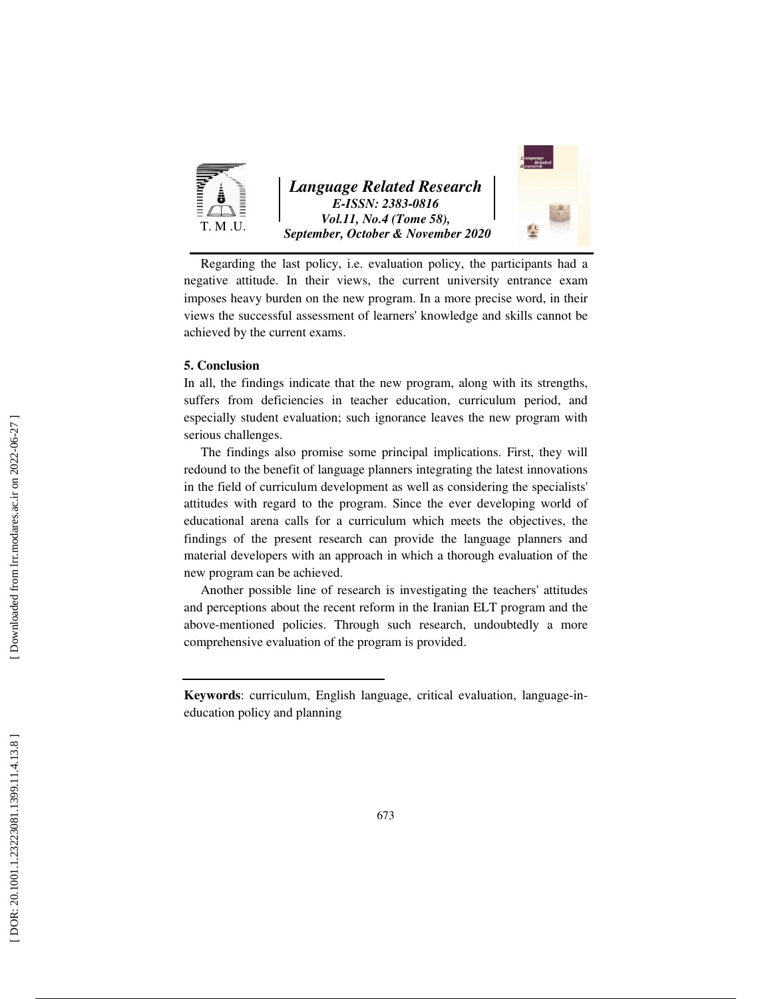

Regarding the last policy, i.e. evaluation policy, the participants had a negative attitude. In their views, the current university entrance exam imposes heavy burden on the new program. In a more precise word, in their views the successful assessment of learners' knowledge and skills cannot be achieved by the current exams.

#### **5. Conclusion**

In all, the findings indicate that the new program, along with its strengths, suffers from deficiencies in teacher education, curriculum period, and especially student evaluation; such ignorance leaves the new program with serious challenges.

The findings also promise some principal implications. First, they will redound to the benefit of language planners integrating the latest innovations in the field of curriculum development as well as considering the specialists' attitudes with regard to the program. Since the ever developing world of educational arena calls for a curriculum which meets the objectives, the findings of the present research can provide the language planners and material developers with an approach in which a thorough evaluation of the new program can be achieved.

Another possible line of research is investigating the teachers' attitudes and perceptions about the recent reform in the Iranian ELT program and the above-mentioned policies. Through such research, undoubtedly a more comprehensive evaluation of the program is provided.

**Keywords**: curriculum, English language, critical evaluation, language-ineducation policy and planning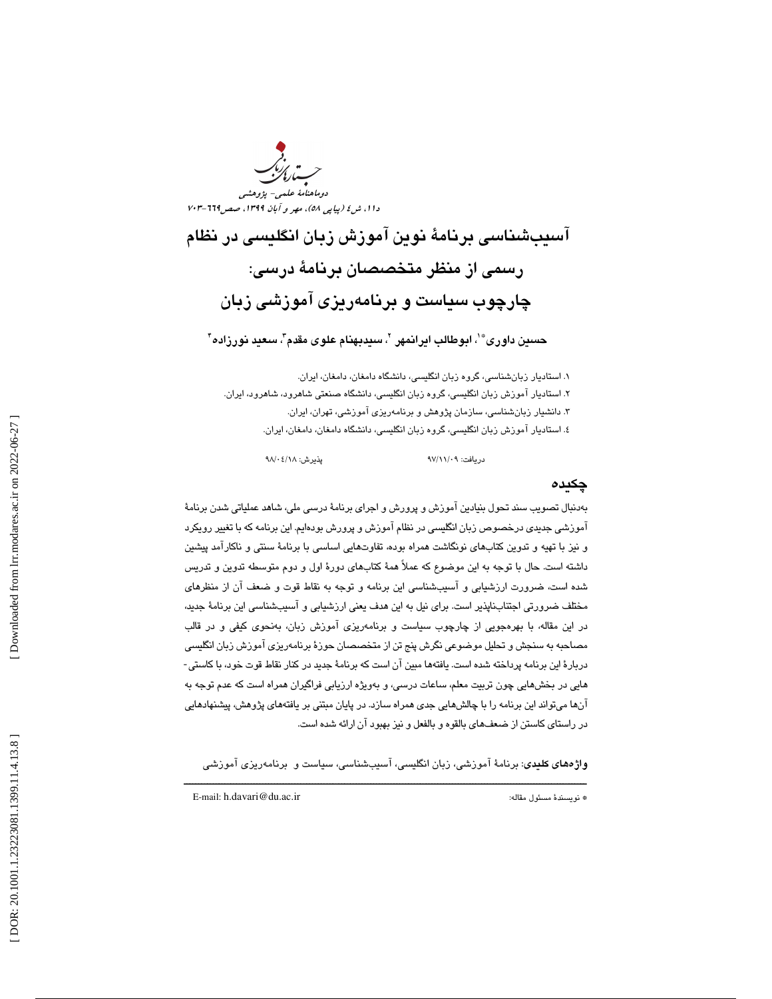د<br>دوماهنامهٔ علم دا ۱، ش ٤ (پياپي ٥٨)، مهر و آبان ١٣٩٩، صص115-٧٠٣

آسيبشناسي برنامة نوين آموزش زبان انگليسي در نظام رسمي از منظر متخصصان برنامة درسي: چارچوب سياست و برنامهريزي آموزشي زبان

حسين داورى®'، ابوطالب ايرانمهر <sup>٢</sup>، سيدبهنام علوى مقدم"، سعيد نورزاده"

. استاديار زبانشناسي، گروه زبان انگليسي، دانشگاه دامغان، دامغان، ايران. 1 ۲. استاديار آموزش زبان انگليسي، گروه زبان انگليسي، دانشگاه صنعتي شاهرود، شاهرود، ايران. . دانشيار زبانشناسي، سازمان پژوهش و برنامهريزي آموزشي، تهران، ايران. 3 ٤. استاديار آموزش زبان انگليسي، گروه زبان انگليسي، دانشگاه دامغان، دامغان، ايران.

دريافت: 09/ 11/ 97 پذيرش: 18/ 04/ 98

#### چكيده

بهدنبال تصويب سند تحول بنيادين آموزش و پرورش و اجراي برنامة درسي ملي، شاهد عملياتي شدن برنامة آموزشي جديدي درخصوص زبان انگليسي در نظام آموزش و پرورش بودهايم. اين برنامه كه با تغيير رويكرد و نيز با تهيه و تدوين كتابهاي نونگاشت همراه بوده، تفاوتهايي اساسي با برنامة سنتي و ناكارآمد پيشين داشته است. حال با توجه به اين موضوع كه عملاً همة كتابهاي دورة اول و دوم متوسطه تدوين و تدريس شده است، ضرورت ارزشيابي و آسيبشناسي اين برنامه و توجه به نقاط قوت و ضعف آن از منظرهاي مختلف ضرورتي اجتنابناپذير است. براي نيل به اين هدف يعني ارزشيابي و آسيبشناسي اين برنامة جديد، در اين مقاله، با بهرهجويي از چارچوب سياست و برنامهريزي آموزش زبان، بهنحوي كيفي و در قالب مصاحبه به سنجش و تحليل موضوعي نگرش پنج تن از متخصصان حوزة برنامهريزي آموزش زبان انگليسي دربارة اين برنامه پرداخته شده است. يافتهها مبين آن است كه برنامة جديد در كنار نقاط قوت خود، با كاستي- هايي در بخشهايي چون تربيت معلم، ساعات درسي، و بهويژه ارزيابي فراگيران همراه است كه عدم توجه به آنها ميتواند اين برنامه را با چالشهايي جدي همراه سازد. در پايان مبتني بر يافتههاي پژوهش، پيشنهادهايي در راستاي كاستن از ضعفهاي بالقوه و بالفعل و نيز بهبود آن ارائه شده است.

ــــــــــــــــــــــــــــــــــــــــــــــــــــــــــــــــــــــــــــــــــــــــــــــــــــــــــــــــــــــــــــــــــــــــــ واژههاي كليدي: برنامة آموزشي، زبان انگليسي، آسيبشناسي، سياست و برنامهريزي آموزشي

E-mail: h.davari@du.ac.ir :مقاله مسئول نويسندة\*

Downloaded from lrr.modares.ac.ir on 2022-06-27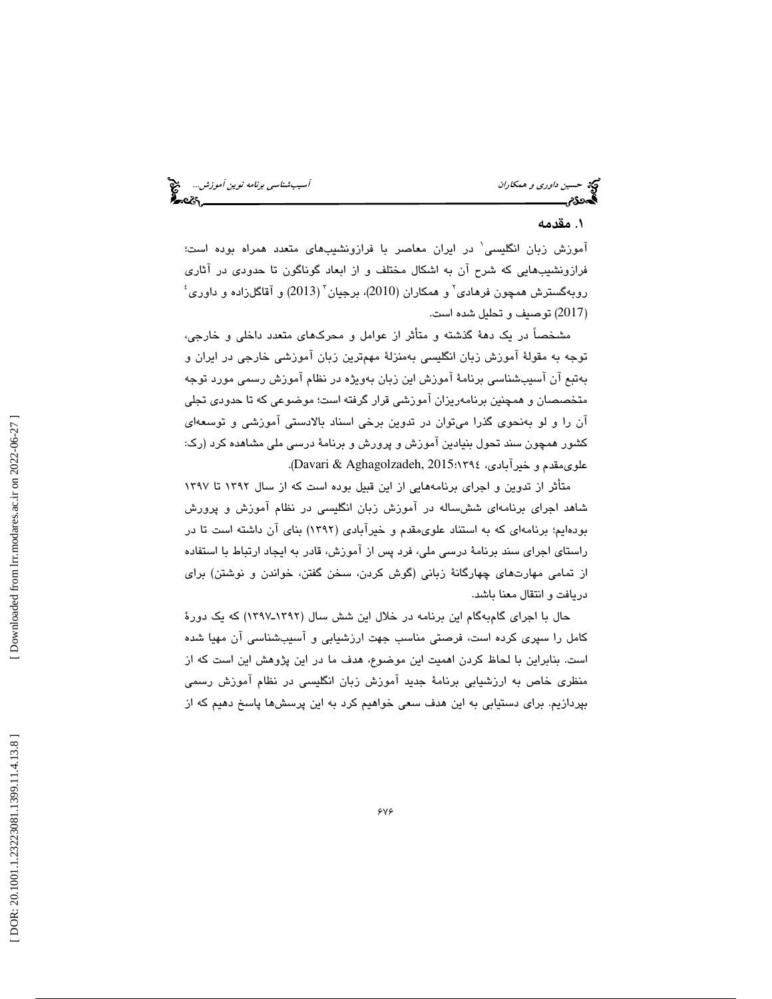حکة حسين *داوري و همكاران* آسيبشناس*ي برنامه نوين آموزش...*<br>گ**حددد <sub>آس</sub>يب آسيب استانستي به نوعت آلو**زش...<br>گ

#### . مقدمه 1

آموزش زبان انگليسى' در ايران معاصر با فرازونشيبهاى متعدد همراه بوده است؛ فرازونشيبهايي كه شرح آن به اشكال مختلف و از ابعاد گوناگون تا حدودي در آثاري  $^{\mathfrak s}$ روبهگسترش همچون فرهادی $^{\mathfrak s}$  و همکاران (2010)، برجیان $(2013)$  و آقاگلزاده و داوری 2017) توصيف و تحليل شده است. )

مشخصاً در يك دهة گذشته و متأثر از عوامل و محركهاي متعدد داخلي و خارجي، توجه به مقولة آموزش زبان انگليسي بهمنزلة مهمترين زبان آموزشي خارجي در ايران و بهتبع آن آسيبشناسي برنامة آموزش اين زبان بهويژه در نظام آموزش رسمي مورد توجه متخصصان و همچنين برنامهريزان آموزشی قرار گرفته است؛ موضوعی كه تا حدودی تجلی آن را و لو بهنحوي گذرا ميتوان در تدوين برخي اسناد بالادستي آموزشي و توسعهاي كشور همچون سند تحول بنيادين آموزش و پرورش و برنامة درسي ملي مشاهده كرد (رك: .( Davari & Aghagolzadeh, 2015 علويمقدم و خيرآبادي، 1394؛

متأثر از تدوين و اجراي برنامههايي از اين قبيل بوده است كه از سال 1392 تا 1397 شاهد اجراي برنامهاي ششساله در آموزش زبان انگليسي در نظام آموزش و پرورش بودهايم؛ برنامهاي كه به استناد علويمقدم و خيرآبادي (1392) بناي آن داشته است تا در راستاي اجراي سند برنامة درسي ملي، فرد پس از آموزش، قادر به ايجاد ارتباط با استفاده از تمامى مهارتهاى چهارگانة زبانى ( گوش كردن، سخن گفتن، خواندن و نوشتن) براى دريافت و انتقال معنا باشد .

حال با اجرای گامبهگام این برنامه در خلال این شش سال (۱۳۹۲ـ۱۳۹۷) که یک دورهٔ كامل را سپري كرده است، فرصتي مناسب جهت ارزشيابي و آسيبشناسي آن مهيا شده است. بنابراين با لحاظ كردن اهميت اين موضوع، هدف ما در اين پژوهش اين است كه از منظري خاص به ارزشيابي برنامة جديد آموزش زبان انگليسي در نظام آموزش رسمي بپردازيم. براي دستيابي به اين هدف سعي خواهيم كرد به اين پرسشها پاسخ دهيم كه از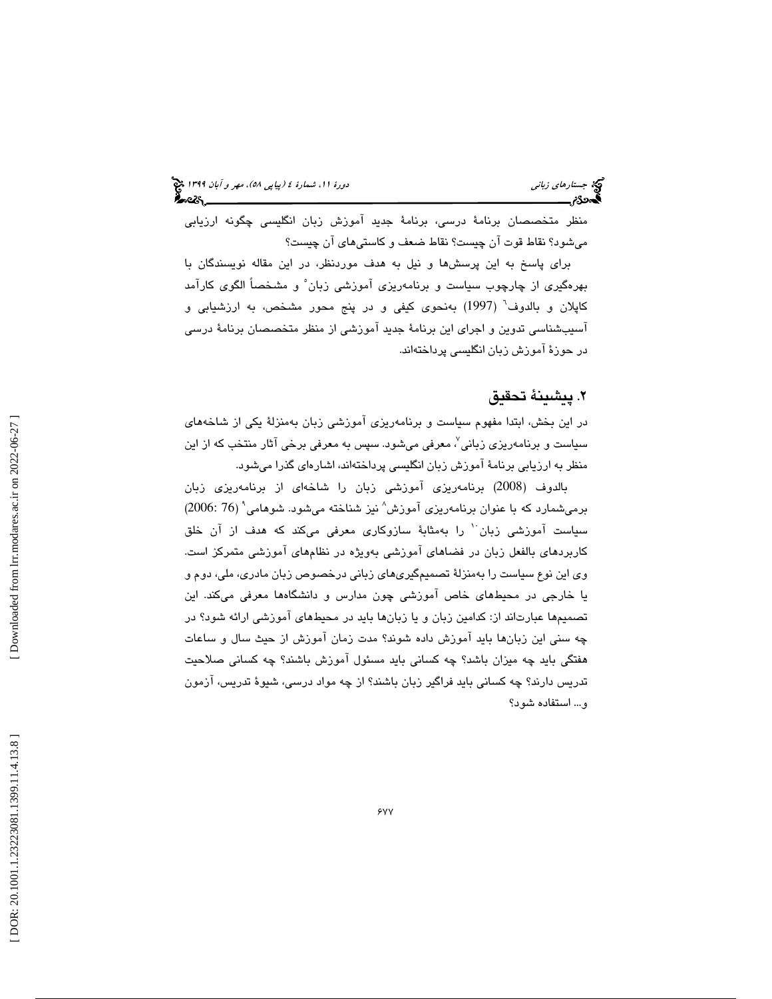منظر متخصصان برنامة درسي، برنامة جديد آموزش زبان انگليسي چگونه ارزيابي ميشود؟ نقاط قوت آن چيست؟ نقاط ضعف و كاستيهاي آن چيست؟

براي پاسخ به اين پرسشها و نيل به هدف موردنظر، در اين مقاله نويسندگان با بهرهگيري از چارچوب سياست و برنامهريزي آموزشي زبان 5 و مشخصاً الگوي كارآمد كاپلان و بالدوف<sup>י</sup> (1997) بەنحوى كيفى و در پنج محور مشخص، بە ارزشيابى و آسيبشناسي تدوين و اجراي اين برنامة جديد آموزشي از منظر متخصصان برنامة درسي در حوزة آموزش زبان انگليسي پرداختهاند.

#### . پيشينة تحقيق 2

در اين بخش، ابتدا مفهوم سياست و برنامهريزي آموزشي زبان بهمنزلة يكي از شاخههاي سیاست و برنامهریزی زبانی<sup>٬</sup>، معرفی میشود. سپس به معرفی برخی آثار منتخب که از این منظر به ارزيابي برنامة آموزش زبان انگليسي پرداختهاند، اشارهاي گذرا ميشود.

2008) برنامهريزي آموزشي زبان را شاخهاي از برنامهريزي زبان بالدوف ( برمیشمارد که با عنوان برنامهریزی آموزش^ نیز شناخته میشود. شوهامی<sup>۹</sup> (76 :2006) سیاست آموزشی زبان  $^{\prime}$  را بهمثابهٔ سازوکاری معرفی میکند که هدف از آن خلق كاربردهاي بالفعل زبان در فضاهاي آموزشي بهويژه در نظامهاي آموزشي متمركز است. وي اين نوع سياست را بهمنزلة تصميمگيريهاي زباني درخصوص زبان مادري، ملي، دوم و يا خارجي در محيطهاي خاص آموزشي چون مدارس و دانشگاهها معرفي ميكند. اين تصميمها عبارتاند از: كدامين زبان و يا زبانها بايد در محيطهاي آموزشي ارائه شود؟ در چه سني اين زبانها بايد آموزش داده شوند؟ مدت زمان آموزش از حيث سال و ساعات هفتگي بايد چه ميزان باشد؟ چه كساني بايد مسئول آموزش باشند؟ چه كساني صلاحيت تدريس دارند؟ چه كساني بايد فراگير زبان باشند؟ از چه مواد درسي، شيوة تدريس، آزمون و... استفاده شود؟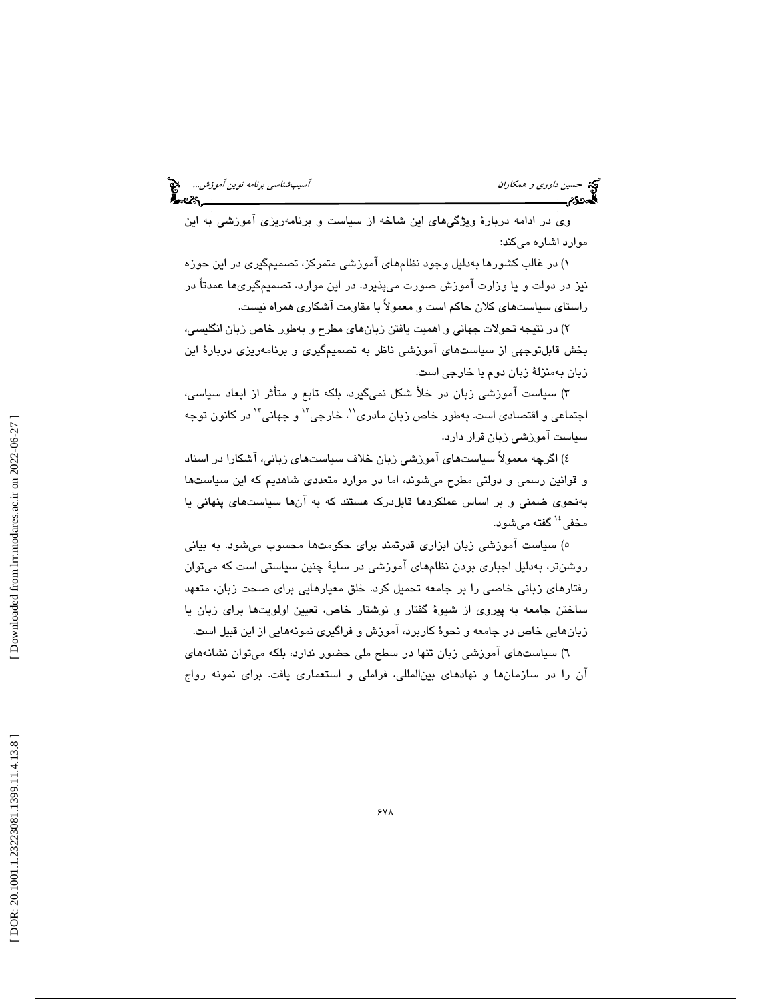وي در ادامه دربارة ويژگيهاي اين شاخه از سياست و برنامهريزي آموزشي به اين موارد اشاره ميكند:

) در غالب كشورها بهدليل وجود نظامهاي آموزشي متمركز، تصميمگيري در اين حوزه 1 نيز در دولت و يا وزارت آموزش صورت ميپذيرد. در اين موارد، تصميمگيريها عمدتاً در راستاي سياستهاي كلان حاكم است و معمولاً با مقاومت آشكاري همراه نيست.

) در نتيجه تحولات جهاني و اهميت يافتن زبانهاي مطرح و بهطور خاص زبان انگليسي، 2 بخش قابلتوجهي از سياستهاي آموزشي ناظر به تصميمگيري و برنامهريزي دربارة اين زبان بهمنزلة زبان دوم يا خارجي است.

) سياست آموزشي زبان در خلأ شكل نميگيرد، بلكه تابع و متأثر از ابعاد سياسي، 3 اجتماعي و اقتصادي است. بهطور خاص زبان مادري'<sup>٬</sup>، خارجي<sup>٬٬</sup> و جهاني'<sup>٬٬</sup> در كانون توجه سياست آموزشي زبان قرار دارد.

) اگرچه معمولاً سياستهاي آموزشي زبان خلاف سياستهاي زباني، آشكارا در اسناد 4 و قوانين رسمي و دولتي مطرح ميشوند، اما در موارد متعددي شاهديم كه اين سياستها بهنحوي ضمني و بر اساس عملكردها قابلدرك هستند كه به آنها سياستهاي پنهاني يا مخفي<sup>،</sup>' گفته ميشود.

٥) سياست آموزشي زبان ابزاري قدرتمند براي حكومتها محسوب ميشود. به بياني روشنتر، بهدليل اجباري بودن نظامهاي آموزشي در ساية چنين سياستي است كه ميتوان رفتارهاي زباني خاصي را بر جامعه تحميل كرد. خلق معيارهايي براي صحت زبان، متعهد ساختن جامعه به پيروي از شيوة گفتار و نوشتار خاص، تعيين اولويتها براي زبان يا زبانهايي خاص در جامعه و نحوة كاربرد، آموزش و فراگيري نمونههايي از اين قبيل است.

) سياستهاي آموزشي زبان تنها در سطح ملي حضور ندارد، بلكه ميتوان نشانههاي 6 آن را در سازمانها و نهادهاي بينالمللي، فراملي و استعماري يافت. براي نمونه رواج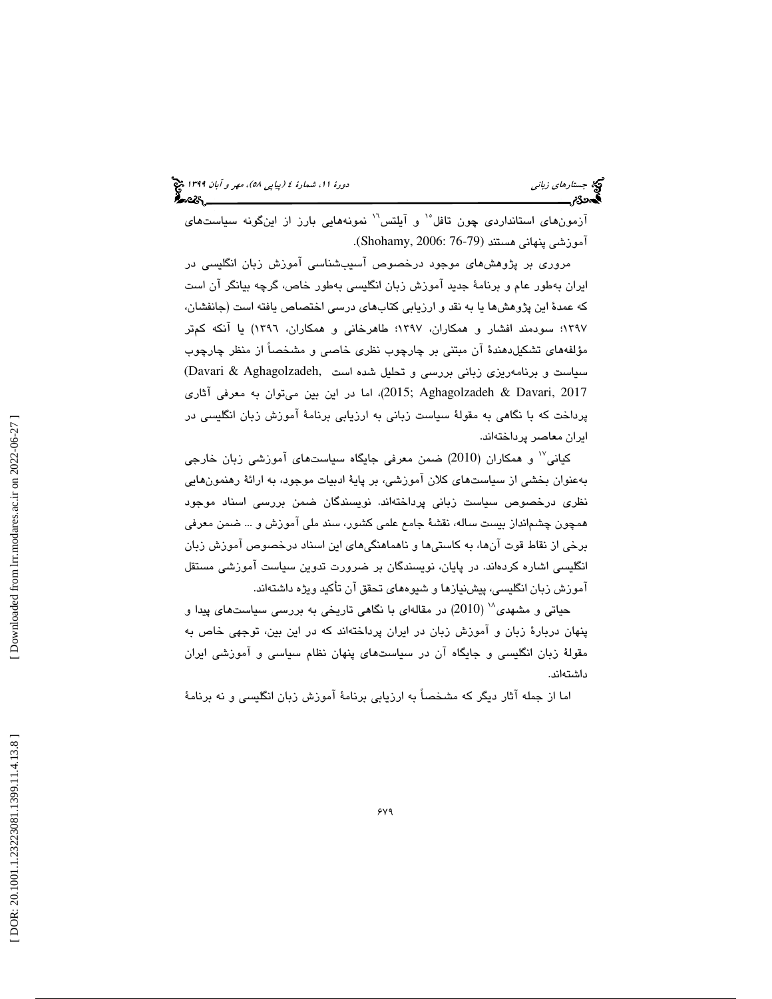آزمونهاي استانداردي چون تافل<sup>16</sup> و آيلتس<sup>11</sup> نمونههايي بارز از اينگونه سياستهاي آموزشي پنهاني هستند (76-79 2006: ,Shohamy(.

مروري بر پژوهشهاي موجود درخصوص آسيبشناسي آموزش زبان انگليسي در ايران بهطور عام و برنامة جديد آموزش زبان انگليسي بهطور خاص، گرچه بيانگر آن است كه عمدة اين پژوهشها يا به نقد و ارزيابي كتابهاي درسي اختصاص يافته است (جانفشان، 1397؛ سودمند افشار و همكاران، 1397؛ طاهرخاني و همكاران، 1396) يا آنكه كمتر مؤلفههاي تشكيلدهندة آن مبتني بر چارچوب نظري خاصي و مشخصاً از منظر چارچوب سياست و برنامهريزي زباني بررسي و تحليل شده است ,Aghagolzadeh & Davari(  $(2015;$  Aghagolzadeh & Davari,  $2017$ ، اما در اين بين ميتوان به معرفي آثاري پرداخت كه با نگاهي به مقولة سياست زباني به ارزيابي برنامة آموزش زبان انگليسي در ايران معاصر پرداختهاند.

17 كياني و همكاران (2010) ضمن معرفي جايگاه سياستهاي آموزشي زبان خارجي بهعنوان بخشي از سياستهاي كلان آموزشي، بر پاية ادبيات موجود، به ارائة رهنمونهايي نظري درخصوص سياست زباني پرداختهاند. نويسندگان ضمن بررسي اسناد موجود همچون چشمانداز بيست ساله، نقشة جامع علمي كشور، سند ملي آموزش و ... ضمن معرفي برخي از نقاط قوت آنها، به كاستيها و ناهماهنگيهاي اين اسناد درخصوص آموزش زبان انگليسي اشاره كردهاند. در پايان، نويسندگان بر ضرورت تدوين سياست آموزشي مستقل آموزش زبان انگليسي، پيشنيازها و شيوههاي تحقق آن تأكيد ويژه داشتهاند.

حیاتی و مشهدی $^{\backprime\prime}$  (2010) در مقالهای با نگاهی تاریخی به بررسی سیاستهای پیدا و پنهان دربارة زبان و آموزش زبان در ايران پرداختهاند كه در اين بين، توجهي خاص به مقولة زبان انگليسي و جايگاه آن در سياستهاي پنهان نظام سياسي و آموزشي ايران داشتهاند.

اما از جمله آثار ديگر كه مشخصاً به ارزيابي برنامة آموزش زبان انگليسي و نه برنامة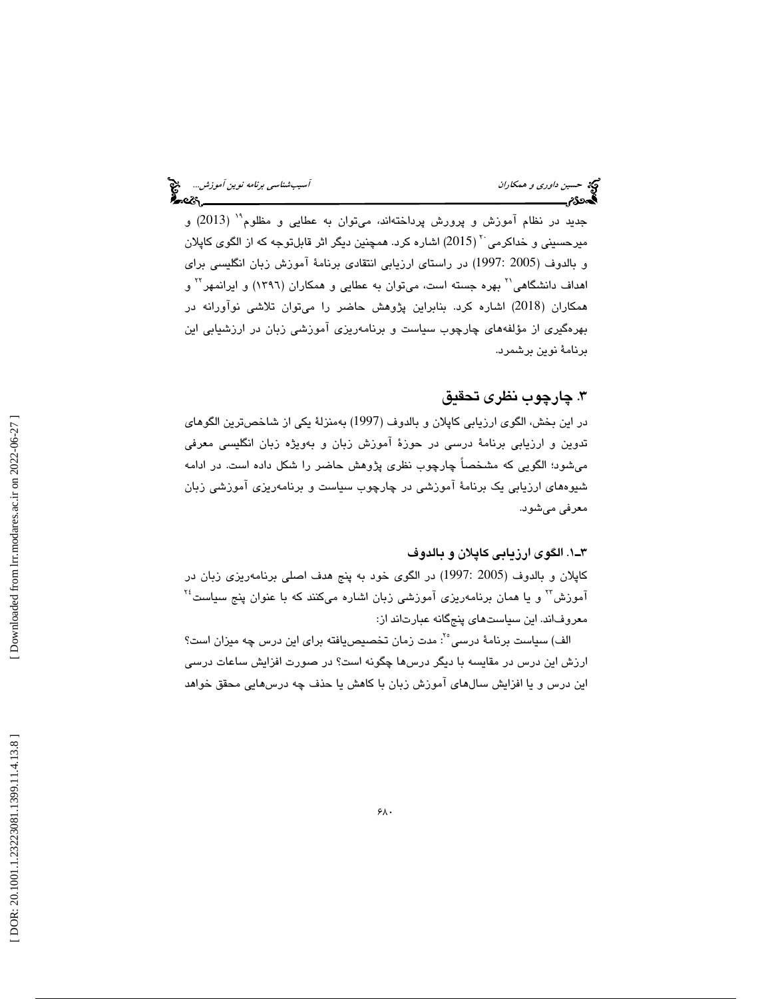جديد در نظام آموزش و پرورش پرداختهاند، ميتوان به عطايي و مظلوم<sup>۱۹</sup> (2013) و میرحسینی و خداکرمی `` ( 2015) اشاره کرد. همچنین دیگر اثر قابلتوجه که از الگوی کاپلان و بالدوف (2005 1997:) در راستاي ارزيابي انتقادي برنامة آموزش زبان انگليسي براي اهداف دانشگاهی<sup>۲۰</sup> بهره جسته است، میتوان به عطایی و همکاران (۱۳۹۲) و ایرانمهر<sup>۲۲</sup> و همكاران (2018) اشاره كرد. بنابراين پژوهش حاضر را ميتوان تلاشي نوآورانه در بهرهگيري از مؤلفههاي چارچوب سياست و برنامهريزي آموزشي زبان در ارزشيابي اين برنامة نوين برشمرد.

## . چارچوب نظري تحقيق 3

در اين بخش، الگوي ارزيابي كاپلان و بالدوف (1997) بهمنزلة يكي از شاخصترين الگوهاي تدوين و ارزيابي برنامة درسي در حوزة آموزش زبان و بهويژه زبان انگليسي معرفي ميشود؛ الگويي كه مشخصاً چارچوب نظري پژوهش حاضر را شكل داده است. در ادامه شيوههاي ارزيابي يك برنامة آموزشي در چارچوب سياست و برنامهريزي آموزشي زبان معرفي ميشود.

#### 1ـ3 . الگوي ارزيابي كاپلان و بالدوف

كاپلان و بالدوف (2005 1997:) در الگوي خود به پنج هدف اصلي برنامهريزي زبان در  $^{\mathbf{Y}^i}$  و يا همان برنامهريزي آموزشي زبان اشاره ميكنند كه با عنوان پنج سياست معروفاند. اين سياستهاي پنجگانه عبارتاند از:

الف) سياست برنامهٔ درسی° ٌ: مدت زمان تخصیص یافته برای این درس چه میزان است؟ ارزش اين درس در مقايسه با ديگر درسها چگونه است؟ در صورت افزايش ساعات درسي اين درس و يا افزايش سالهاي آموزش زبان با كاهش يا حذف چه درسهايي محقق خواهد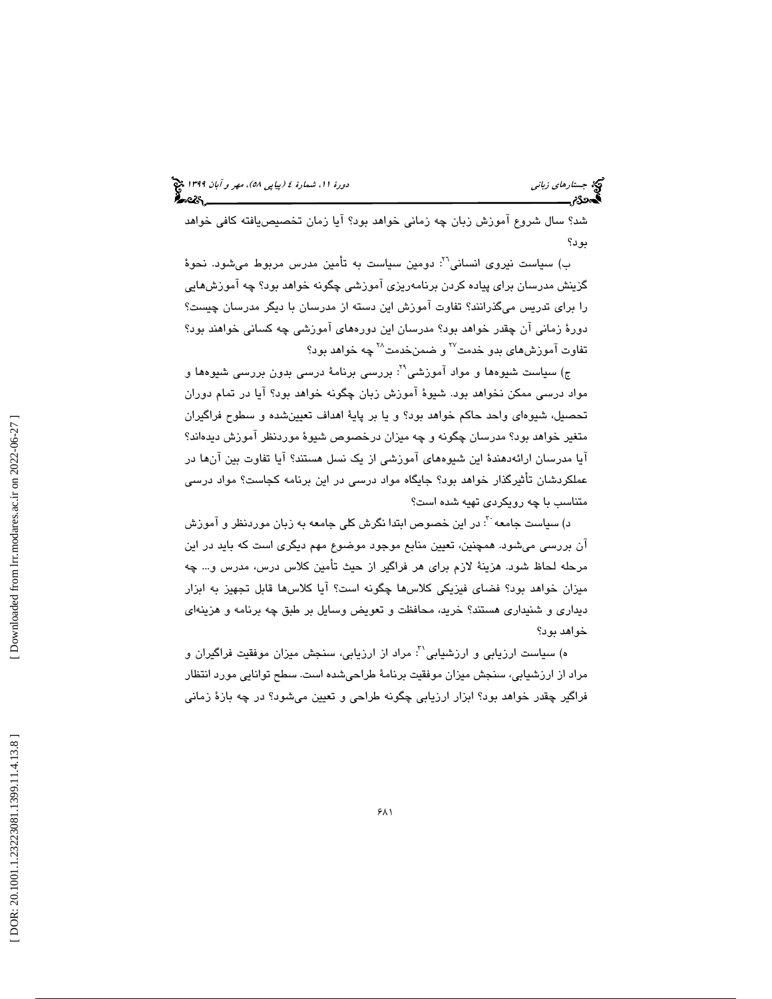شد؟ سال شروع آموزش زبان چه زماني خواهد بود؟ آيا زمان تخصيصيافته كافي خواهد بود؟

ب) سياست نيروى انساني<sup>٢٦</sup>: دومين سياست به تأمين مدرس مربوط مي شود. نحوهٔ گزينش مدرسان براي پياده كردن برنامهريزي آموزشي چگونه خواهد بود؟ چه آموزشهايي را براي تدريس ميگذرانند؟ تفاوت آموزش اين دسته از مدرسان با ديگر مدرسان چيست؟ دورة زماني آن چقدر خواهد بود؟ مدرسان اين دورههاي آموزشي چه كساني خواهند بود؟ تفاوت آموزش،های بدو خدمت<sup>۲۷</sup> و ضمنخدمت<sup>۲۸</sup> چه خواهد بود؟

ج) سياست شيوهها و مواد آموزشي": بررسي برنامهٔ درسي بدون بررسي شيوهها و مواد درسي ممكن نخواهد بود. شيوة آموزش زبان چگونه خواهد بود؟ آيا در تمام دوران تحصيل، شيوهاي واحد حاكم خواهد بود؟ و يا بر پاية اهداف تعيينشده و سطوح فراگيران متغير خواهد بود؟ مدرسان چگونه و چه ميزان درخصوص شيوة موردنظر آموزش ديدهاند؟ آيا مدرسان ارائهدهندة اين شيوههاي آموزشي از يك نسل هستند؟ آيا تفاوت بين آنها در عملكردشان تأثيرگذار خواهد بود؟ جايگاه مواد درسي در اين برنامه كجاست؟ مواد درسي متناسب با چه رويكردي تهيه شده است؟

د) سیاست جامعه  $^{\tau}$ : در این خصوص ابتدا نگرش كلی جامعه به زبان موردنظر و آموزش آن بررسي ميشود. همچنين، تعيين منابع موجود موضوع مهم ديگري است كه بايد در اين مرحله لحاظ شود. هزينة لازم براي هر فراگير از حيث تأمين كلاس درس، مدرس و... چه ميزان خواهد بود؟ فضاي فيزيكي كلاسها چگونه است؟ آيا كلاسها قابل تجهيز به ابزار ديداري و شنيداري هستند؟ خريد، محافظت و تعويض وسايل بر طبق چه برنامه و هزينهاي خواهد بود؟

ه) سياست ارزيابي و ارزشيابي<sup>٢٠</sup>: مراد از ارزيابي، سنجش ميزان موفقيت فراگيران و مراد از ارزشيابي، سنجش ميزان موفقيت برنامة طراحيشده است. سطح توانايي مورد انتظار فراگير چقدر خواهد بود؟ ابزار ارزيابي چگونه طراحي و تعيين ميشود؟ در چه بازة زماني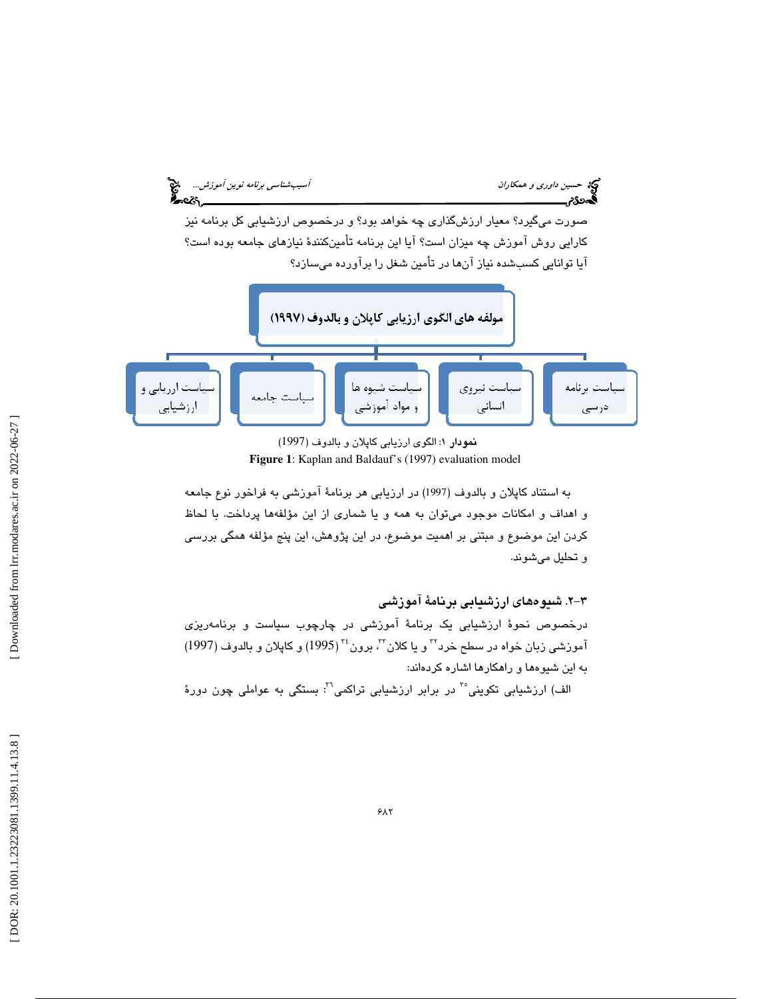

نمودار ١: الكوى ارزيابي كاپلان و بالدوف (1997) **Figure 1**: Kaplan and Baldauf's (1997) evaluation model

به استناد كاپلان و بالدوف (1997) در ارزيابي هر برنامة آموزشي به فراخور نوع جامعه و اهداف و امكانات موجود ميتوان به همه و يا شماري از اين مؤلفهها پرداخت. با لحاظ كردن اين موضوع و مبتني بر اهميت موضوع، در اين پژوهش، اين پنج مؤلفه همگي بررسي و تحليل ميشوند.

-2 3 . شيوههاي ارزشيابي برنامة آموزشي درخصوص نحوة ارزشيابي يك برنامة آموزشي در چارچوب سياست و برنامهريزي آموزشي زبان خواه در سطح خرد™ و يا كلان™ برون™(1995) و كاپلان و بالدوف (1997) به اين شيوهها و راهكارها اشاره كردهاند:

الف) ارزشيابي تكويني°<sup>"</sup> در برابر ارزشيابي تراكمي<sup>7</sup>": بستگي به عواملي چون دورهٔ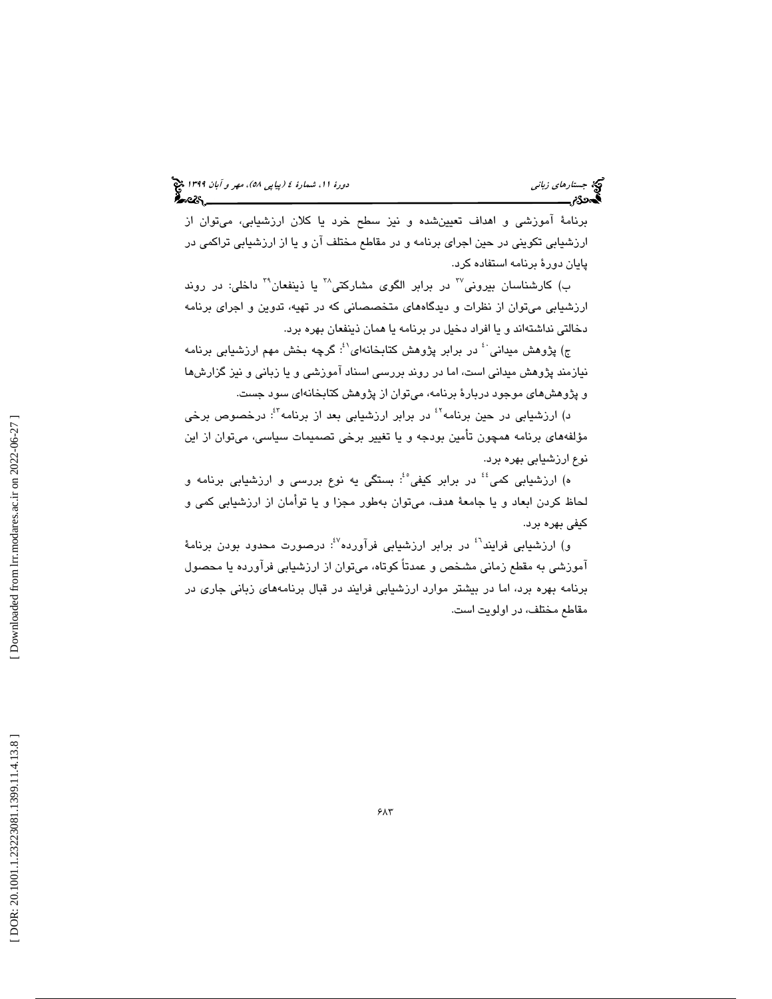برنامة آموزشي و اهداف تعيينشده و نيز سطح خرد يا كلان ارزشيابي، ميتوان از ارزشيابي تكويني در حين اجراي برنامه و در مقاطع مختلف آن و يا از ارزشيابي تراكمي در پايان دورة برنامه استفاده كرد.

ب) كارشناسان بيروني<sup>77</sup> در برابر الگوى مشاركتي<sup>74</sup> يا ذينفعان<sup>74</sup> داخلي: در روند ارزشيابي ميتوان از نظرات و ديدگاههاي متخصصاني كه در تهيه، تدوين و اجراي برنامه دخالتي نداشتهاند و يا افراد دخيل در برنامه يا همان ذينفعان بهره برد.

ج) پژوهش ميداني ٔ در برابر پژوهش كتابخانهای $\mathfrak{t}^3$  گرچه بخش مهم ارزشيابی برنامه نيازمند پژوهش ميداني است، اما در روند بررسي اسناد آموزشي و يا زباني و نيز گزارشها و پژوهشهاي موجود دربارة برنامه، ميتوان از پژوهش كتابخانهاي سود جست.

د) ارزشيابي در حين برنامه<sup>٤٤</sup> در برابر ارزشيابي بعد از برنامه<sup>٤٢</sup>: درخصوص برخي مؤلفههاي برنامه همچون تأمين بودجه و يا تغيير برخي تصميمات سياسي، ميتوان از اين نوع ارزشيابي بهره برد.

ه) ارزشيابي كمي<sup>؛؛</sup> در برابر كيفي<sup>،؛</sup> بستگي يه نوع بررسي و ارزشيابي برنامه و لحاظ كردن ابعاد و يا جامعة هدف، ميتوان بهطور مجزا و يا توأمان از ارزشيابي كمي و كيفي بهره برد.

و) ارزشيابي فرايند<sup>ن</sup> در برابر ارزشيابي فرآورده<sup>61</sup>: درصورت محدود بودن برنامهٔ آموزشي به مقطع زماني مشخص و عمدتاً كوتاه، ميتوان از ارزشيابي فرآورده يا محصول برنامه بهره برد، اما در بيشتر موارد ارزشيابي فرايند در قبال برنامههاي زباني جاري در مقاطع مختلف، در اولويت است.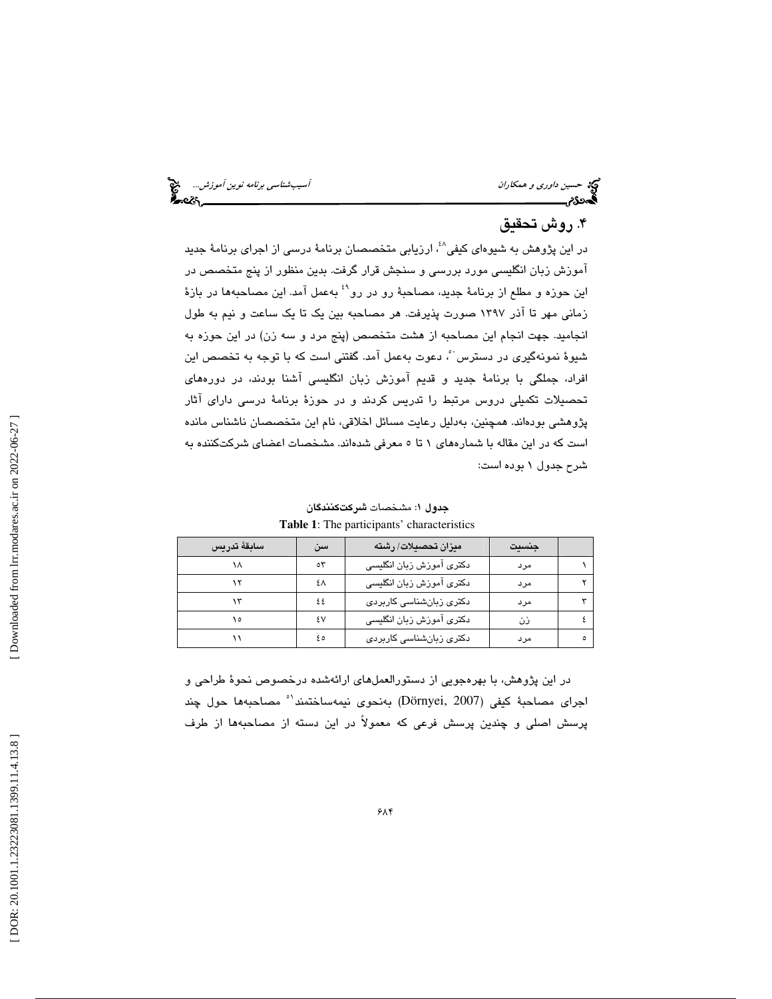حركة حسين *داوري و همكاران المستخدمات المستخدمات السيب شناسي برنامه نوين آموزش...*... هي المستخدمات المستخدمات ا<br>**آسيب** هي المستخدم المستخدمات المستخدمات المستخدمات المستخدمات المستخدمات المستخدمات المستخدمات المستخدمات ا

### ۴. روش تحقيق

در اين پژوهش به شيوهاي كيفي<sup>٤،</sup> ارزيابي متخصصان برنامهٔ درسي از اجراي برنامهٔ جديد آموزش زبان انگليسي مورد بررسي و سنجش قرار گرفت. بدين منظور از پنج متخصص در اين حوزه و مطلع از برنامهٔ جديد، مصاحبهٔ رو در رو<sup>٤٩</sup> بهعمل آمد. اين مصاحبهها در بازهٔ زماني مهر تا آذر 1397 صورت پذيرفت. هر مصاحبه بين يك تا يك ساعت و نيم به طول انجاميد. جهت انجام اين مصاحبه از هشت متخصص (پنج مرد و سه زن) در اين حوزه به شيوهٔ نمونهگيري در دسترس ٔ، دعوت بهعمل آمد. گفتني است كه با توجه به تخصص اين افراد، جملگي با برنامة جديد و قديم آموزش زبان انگليسي آشنا بودند، در دورههاي تحصيلات تكميلي دروس مرتبط را تدريس كردند و در حوزة برنامة درسي داراي آثار پژوهشي بودهاند. همچنين، بهدليل رعايت مسائل اخلاقي، نام اين متخصصان ناشناس مانده است كه در اين مقاله با شمارههاي 1 تا 5 معرفي شدهاند. مشخصات اعضاي شركتكننده به شرح جدول 1 بوده است:

| سابقة تدريس | سن  | میزان تحصیلات/ رشته      | جنسيت |         |
|-------------|-----|--------------------------|-------|---------|
| ۱۸          | ٥٣  | دكترى آموزش زبان انگليسى | مرد   |         |
|             | ٤٨  | دكترى آموزش زبان انگليسى | مرد   |         |
|             | ٤٤  | دکتری زبانشناسی کاربردی  | مرد   |         |
| ۱٥          | ٤V  | دكترى آموزش زبان انگليسى | ذن    |         |
|             | ه ٤ | دکتری زبانشناسی کاربردی  | مرد   | $\circ$ |
|             |     |                          |       |         |

جدول 1: مشخصات شركتكنندگان **Table 1**: The participants' characteristics

در اين پژوهش، با بهرهجويي از دستورالعملهاي ارائهشده درخصوص نحوة طراحي و اجراي مصاحبة كيفي (Dörnyei, 2007) بهنحوي نيمهساختمند<sup>\ه</sup> مصاحبهها حول چند پرسش اصلي و چندين پرسش فرعي كه معمولاً در اين دسته از مصاحبهها از طرف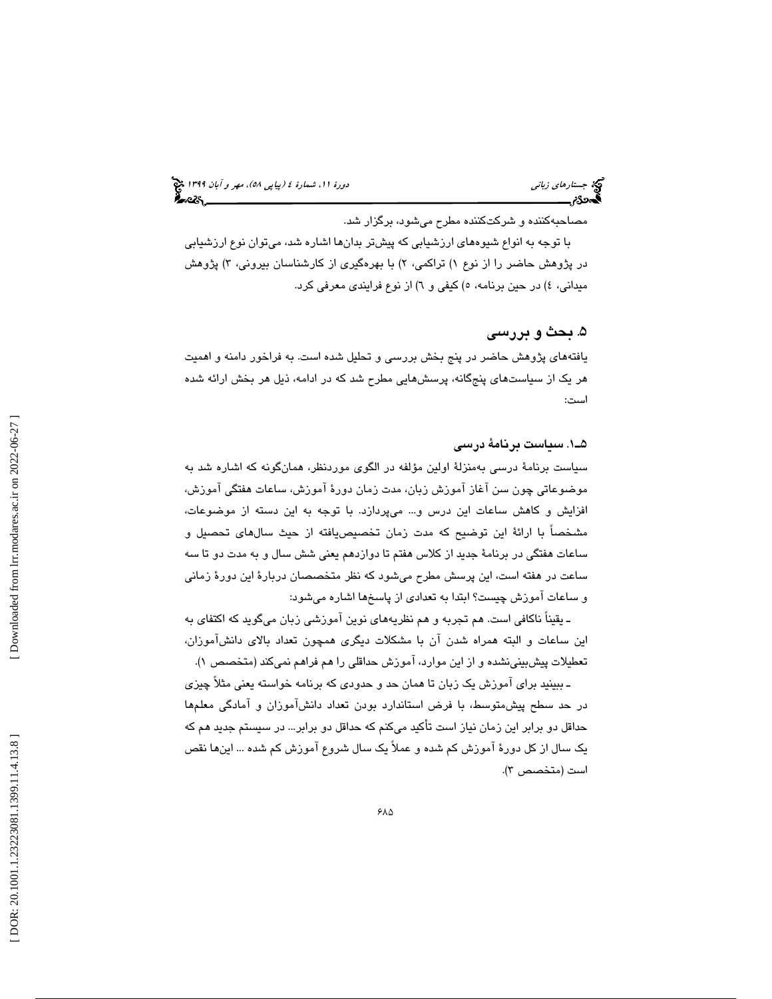(پياپي 58)، مهر و آبان 1399 جستارهاي زباني دورة ،11 شمارة 4

مصاحبهكننده و شركتكننده مطرح ميشود، برگزار شد.

با توجه به انواع شيوههاي ارزشيابي كه پيشتر بدانها اشاره شد، ميتوان نوع ارزشيابي در پژوهش حاضر را از نوع ۱) تراكمي، ۲) با بهرهگیری از كارشناسان بیرونی، ۳) پژوهش ميداني، ٤) در حين برنامه، ٥) كيفي و ٦) از نوع فرايندي معرفي كرد.

#### ۵. بحث و بررسی

يافتههاي پژوهش حاضر در پنج بخش بررسي و تحليل شده است. به فراخور دامنه و اهميت هر يك از سياستهاي پنجگانه، پرسشهايي مطرح شد كه در ادامه، ذيل هر بخش ارائه شده است:

#### 1ـ5 . سياست برنامة درسي

سياست برنامة درسي به منزلة اولين مؤلفه در الگوي موردنظر، همانگونه كه اشاره شد به موضوعاتي چون سن آغاز آموزش زبان، مدت زمان دورة آموزش، ساعات هفتگي آموزش، افزايش و كاهش ساعات اين درس و... ميپردازد. با توجه به اين دسته از موضوعات، مشخصاً با ارائهٔ اين توضيح كه مدت زمان تخصيصيافته از حيث سالهاى تحصيل و ساعات هفتگي در برنامة جديد از كلاس هفتم تا دوازدهم يعني شش سال و به مدت دو تا سه ساعت در هفته است، اين پرسش مطرح ميشود كه نظر متخصصان دربارة اين دورة زماني و ساعات آموزش چيست؟ ابتدا به تعدادي از پاسخها اشاره ميشود:

ـ يقيناً ناكافي است. هم تجربه و هم نظريههاي نوين آموزشي زبان ميگويد كه اكتفاي به اين ساعات و البته همراه شدن آن با مشكلات ديگري همچون تعداد بالاي دانشآموزان، تعطيلات پيشبينينشده و از اين موارد، آموزش حداقلي را هم فراهم نميكند (متخصص )1.

ـ ببينيد براي آموزش يك زبان تا همان حد و حدودي كه برنامه خواسته يعني مثلاً چيزي در حد سطح پيشمتوسط، با فرض استاندارد بودن تعداد دانشآموزان و آمادگي معلمها حداقل دو برابر اين زمان نياز است تأكيد ميكنم كه حداقل دو برابر... در سيستم جديد هم كه يك سال از كل دورة آموزش كم شده و عملاً يك سال شروع آموزش كم شده ... اينها نقص است (متخصص ٣).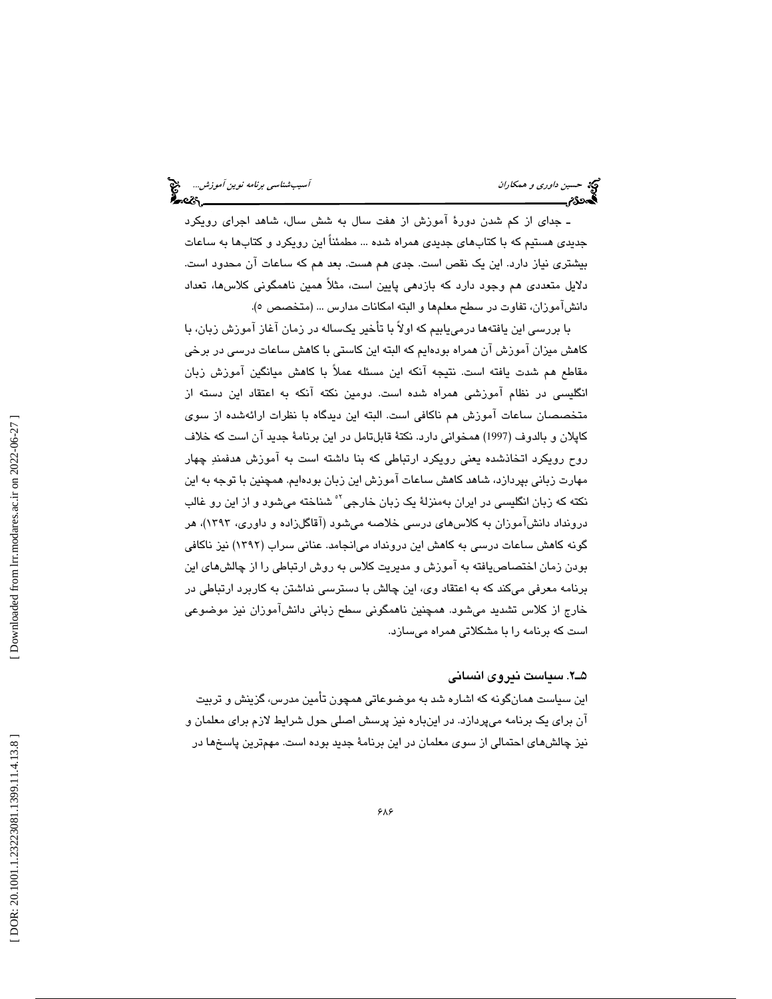ـ جداي از كم شدن دورة آموزش از هفت سال به شش سال، شاهد اجراي رويكرد جديدي هستيم كه با كتابهاي جديدي همراه شده ... مطمئناً اين رويكرد و كتابها به ساعات بيشتري نياز دارد. اين يك نقص است. جدي هم هست. بعد هم كه ساعات آن محدود است. دلايل متعددي هم وجود دارد كه بازدهي پايين است، مثلاً همين ناهمگوني كلاسها، تعداد دانشآموزان، تفاوت در سطح معلمها و البته امكانات مدارس … (متخصص ٥).

با بررسي اين يافتهها درمييابيم كه اولاً با تأخير يكساله در زمان آغاز آموزش زبان، با كاهش ميزان آموزش آن همراه بودهايم كه البته اين كاستي با كاهش ساعات درسي در برخي مقاطع هم شدت يافته است. نتيجه آنكه اين مسئله عملاً با كاهش ميانگين آموزش زبان انگليسي در نظام آموزشي همراه شده است. دومين نكته آنكه به اعتقاد اين دسته از متخصصان ساعات آموزش هم ناكافي است. البته اين ديدگاه با نظرات ارائهشده از سوي كاپلان و بالدوف (1997) همخواني دارد. نكتة قابلتامل در اين برنامة جديد آن است كه خلاف روح رويكرد اتخاذشده يعني رويكرد ارتباطي كه بنا داشته است به آموزش هدفمند چهار مهارت زباني بپردازد، شاهد كاهش ساعات آموزش اين زبان بودهايم. همچنين با توجه به اين نكته كه زبان انگلي*سي* در ايران بهمنزلهٔ يک زبان خارجي<sup>؟ه</sup> شناخته ميشود و از اين رو غالب درونداد دانشآموزان به كلاسهاي درسي خلاصه ميشود (آقاگلزاده و داوري، 1393)، هر گونه كاهش ساعات درسي به كاهش اين درونداد ميانجامد. عناني سراب (1392) نيز ناكافي بودن زمان اختصاصيافته به آموزش و مديريت كلاس به روش ارتباطي را از چالشهاي اين برنامه معرفي ميكند كه به اعتقاد وي، اين چالش با دسترسي نداشتن به كاربرد ارتباطي در خارج از كلاس تشديد ميشود. همچنين ناهمگوني سطح زباني دانشآموزان نيز موضوعي است كه برنامه را با مشكلاتي همراه ميسازد.

2ـ5 . سياست نيروي انساني

اين سياست همانگونه كه اشاره شد به موضوعاتي همچون تأمين مدرس، گزينش و تربيت آن براي يك برنامه ميپردازد. در اينباره نيز پرسش اصلي حول شرايط لازم براي معلمان و نيز چالشهاي احتمالي از سوي معلمان در اين برنامة جديد بوده است. مهمترين پاسخها در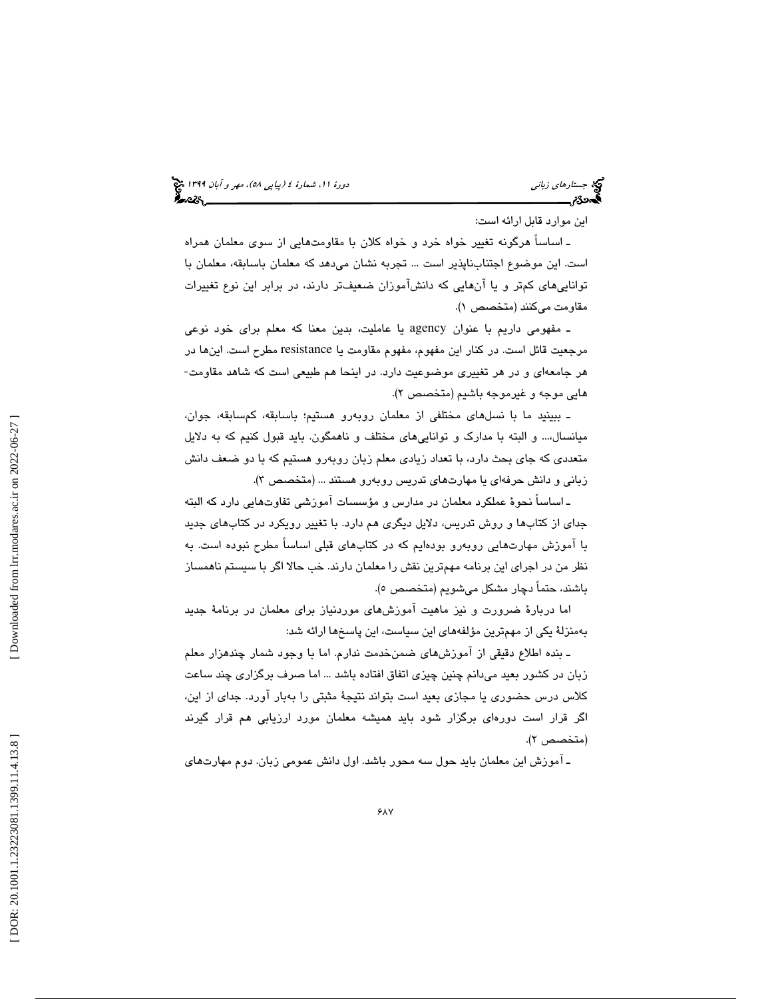اين موارد قابل ارائه است:

ـ اساساً هرگونه تغيير خواه خرد و خواه كلان با مقاومتهايي از سوي معلمان همراه است. اين موضوع اجتنابناپذير است ... تجربه نشان ميدهد كه معلمان باسابقه، معلمان با تواناييهاي كمتر و يا آنهايي كه دانشآموزان ضعيفتر دارند، در برابر اين نوع تغييرات مقاومت ميكنند (متخصص )1.

ـ مفهومي داريم با عنوان agency يا عامليت، بدين معنا كه معلم براي خود نوعي مرجعیت قائل است. در کنار این مفهوم، مفهوم مقاومت یا resistance مطرح است. اینها در<br>هر جامعهای و در هر تغییری موضوعیت دارد. در اینحا هم طبیعی است که شاهد مقاومت-هايي موجه و غيرموجه باشيم (متخصص )2.

ـ ببينيد ما با نسلهاي مختلفي از معلمان روبهرو هستيم؛ باسابقه، كمسابقه، جوان، ميانسال...، و البته با مدارك و تواناييهاي مختلف و ناهمگون. بايد قبول كنيم كه به دلايل متعددي كه جاي بحث دارد، با تعداد زيادي معلم زبان روبهرو هستيم كه با دو ضعف دانش زباني و دانش حرفهاي يا مهارتهاي تدريس روبهرو هستند ... (متخصص )3.

ـ اساساً نحوة عملكرد معلمان در مدارس و مؤسسات آموزشي تفاوتهايي دارد كه البته جداي از كتابها و روش تدريس، دلايل ديگري هم دارد. با تغيير رويكرد در كتابهاي جديد با آموزش مهارتهايي روبهرو بودهايم كه در كتابهاي قبلي اساساً مطرح نبوده است. به نظر من در اجراي اين برنامه مهمترين نقش را معلمان دارند. خب حالا اگر با سيستم ناهمساز باشند، حتماً دچار مشكل مي شويم (متخصص ٥).

اما دربارة ضرورت و نيز ماهيت آموزشهاي موردنياز براي معلمان در برنامة جديد بهمنزلة يكي از مهمترين مؤلفههاي اين سياست، اين پاسخها ارائه شد:

ـ بنده اطلاع دقيقي از آموزش،هاي ضمن خدمت ندارم. اما با وجود شمار چندهزار معلم زبان در كشور بعيد ميدانم چنين چيزي اتفاق افتاده باشد ... اما صرف برگزاري چند ساعت كلاس درس حضوري يا مجازي بعيد است بتواند نتيجة مثبتي را بهبار آورد. جداي از اين، اگر قرار است دورهاي برگزار شود بايد هميشه معلمان مورد ارزيابي هم قرار گيرند (متخصص ٢).

ـ آموزش اين معلمان بايد حول سه محور باشد. اول دانش عمومي زبان. دوم مهارتهاي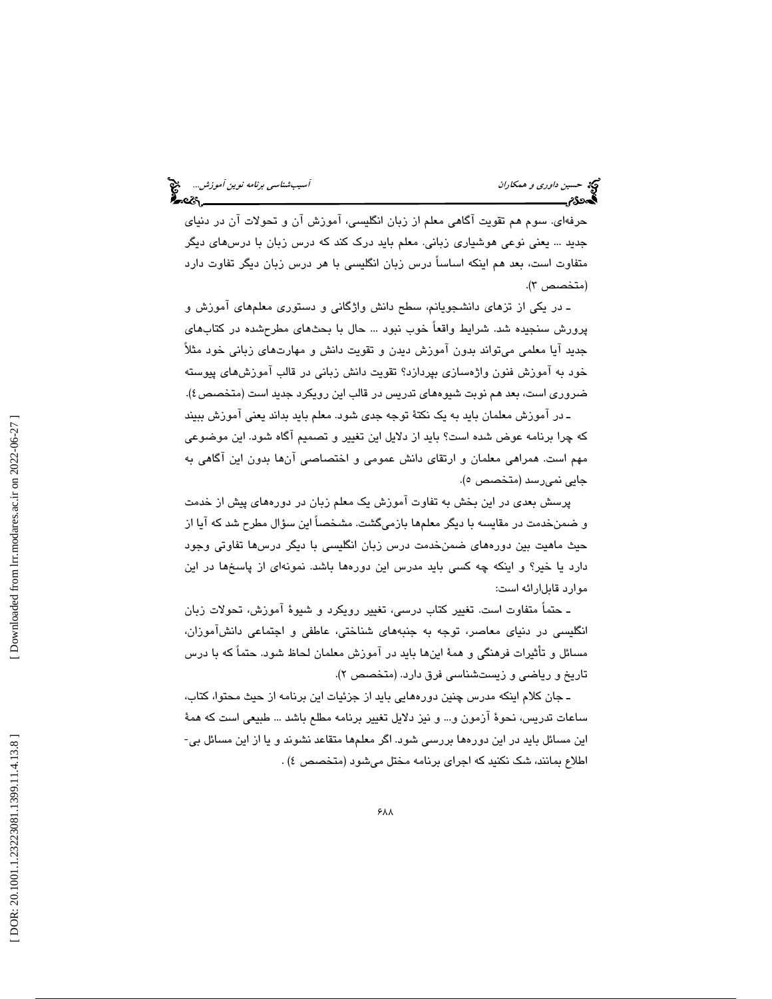حرفهاي. سوم هم تقويت آگاهي معلم از زبان انگليسي، آموزش آن و تحولات آن در دنياي جديد ... يعني نوعي هوشياري زباني. معلم بايد درك كند كه درس زبان با درسهاي ديگر متفاوت است، بعد هم اينكه اساساً درس زبان انگليسي با هر درس زبان ديگر تفاوت دارد (متخصص ۳).

ـ در يكي از تزهاي دانشجويانم، سطح دانش واژگاني و دستوري معلمهاي آموزش و پرورش سنجيده شد. شرايط واقعاً خوب نبود ... حال با بحثهاي مطرحشده در كتابهاي جديد آيا معلمي ميتواند بدون آموزش ديدن و تقويت دانش و مهارتهاي زباني خود مثلاً خود به آموزش فنون واژهسازي بپردازد؟ تقويت دانش زباني در قالب آموزشهاي پيوسته ضروري است، بعد هم نوبت شيوههاي تدريس در قالب اين رويكرد جديد است (متخصص )4.

ـ در آموزش معلمان بايد به يك نكتة توجه جدي شود. معلم بايد بداند يعني آموزش ببيند كه چرا برنامه عوض شده است؟ بايد از دلايل اين تغيير و تصميم آگاه شود. اين موضوعي مهم است. همراهي معلمان و ارتقاي دانش عمومي و اختصاصي آنها بدون اين آگاهي به جايي نمي رسد (متخصص ٥).

پرسش بعدي در اين بخش به تفاوت آموزش يك معلم زبان در دورههاي پيش از خدمت و ضمنخدمت در مقايسه با ديگر معلمها بازميگشت. مشخصاً اين سؤال مطرح شد كه آيا از حيث ماهيت بين دورههاي ضمنخدمت درس زبان انگليسي با ديگر درسها تفاوتي وجود دارد يا خير؟ و اينكه چه كسي بايد مدرس اين دورهها باشد. نمونهاي از پاسخها در اين موارد قابلارائه است:

ـ حتماً متفاوت است. تغيير كتاب درسي، تغيير رويكرد و شيوة آموزش، تحولات زبان انگليسي در دنياي معاصر، توجه به جنبههاي شناختي، عاطفي و اجتماعي دانشآموزان، مسائل و تأثيرات فرهنگي و همة اينها بايد در آموزش معلمان لحاظ شود. حتماً كه با درس تاريخ و رياضي و زيستشناسي فرق دارد. (متخصص )2.

ـ جان كلام اينكه مدرس چنين دورههايي بايد از جزئيات اين برنامه از حيث محتوا، كتاب، ساعات تدريس، نحوة آزمون و... و نيز دلايل تغيير برنامه مطلع باشد ... طبيعي است كه همة اين مسائل بايد در اين دورهها بررسي شود. اگر معلمها متقاعد نشوند و يا از اين مسائل بي- اطلاع بمانند، شک نکنید که اجرای برنامه مختل میشود (متخصص ٤) .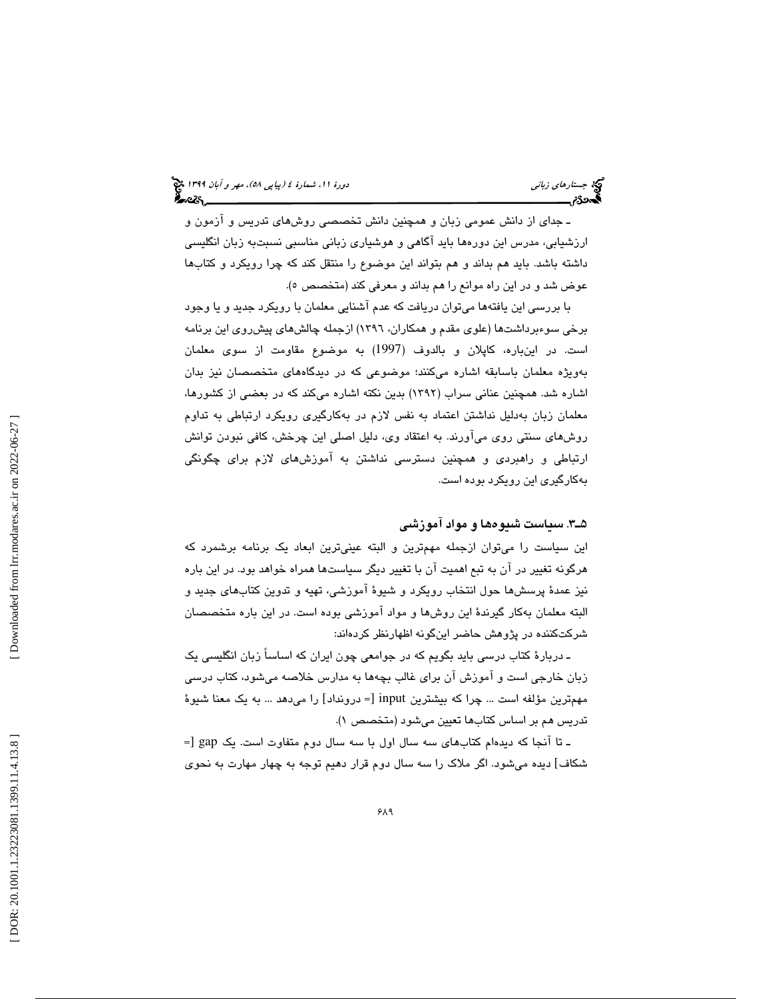ـ جداي از دانش عمومي زبان و همچنين دانش تخصصي روشهاي تدريس و آزمون و ارزشيابي، مدرس اين دورهها بايد آگاهي و هوشياري زباني مناسبي نسبتبه زبان انگليسي داشته باشد. بايد هم بداند و هم بتواند اين موضوع را منتقل كند كه چرا رويكرد و كتابها عوض شد و در اين راه موانع را هم بداند و معرفي كند (متخصص ٥).

با بررسي اين يافتهها ميتوان دريافت كه عدم آشنايي معلمان با رويكرد جديد و يا وجود برخي سوءبرداشتها (علوي مقدم و همكاران، 1396) ازجمله چالشهاي پيشروي اين برنامه است. در اينباره، كاپلان و بالدوف (1997) به موضوع مقاومت از سوي معلمان بهويژه معلمان باسابقه اشاره ميكنند؛ موضوعي كه در ديدگاههاي متخصصان نيز بدان اشاره شد. همچنين عناني سراب (1392) بدين نكته اشاره ميكند كه در بعضي از كشورها، معلمان زبان بهدليل نداشتن اعتماد به نفس لازم در بهكارگيري رويكرد ارتباطي به تداوم روشهاي سنتي روي ميآورند. به اعتقاد وي، دليل اصلي اين چرخش، كافي نبودن توانش ارتباطي و راهبردي و همچنين دسترسي نداشتن به آموزشهاي لازم براي چگونگي بهكارگيري اين رويكرد بوده است.

#### 3ـ5 . سياست شيوهها و مواد آموزشي

اين سياست را ميتوان ازجمله مهمترين و البته عينيترين ابعاد يك برنامه برشمرد كه هرگونه تغيير در آن به تبع اهميت آن با تغيير ديگر سياستها همراه خواهد بود. در اين باره نيز عمدة پرسشها حول انتخاب رويكرد و شيوة آموزشي، تهيه و تدوين كتابهاي جديد و البته معلمان بهكار گيرندة اين روشها و مواد آموزشي بوده است. در اين باره متخصصان شركتكننده در پژوهش حاضر اينگونه اظهارنظر كردهاند:

ـ دربارة كتاب درسي بايد بگويم كه در جوامعي چون ايران كه اساساً زبان انگليسي يك زبان خارجي است و آموزش آن براي غالب بچهها به مدارس خلاصه ميشود، كتاب درسي مهمترين مؤلفه است ... چرا كه بيشترين input [= درونداد] را مىدهد ... به يک معنا شيوهٔ تدريس هم بر اساس كتابها تعيين ميشود (متخصص )1.

 = ـ تا آنجا كه ديدهام كتابهاي سه سال اول با سه سال دوم متفاوت است. يك gap] ديده ميشود. اگر ملاك را سه سال دوم قرار دهيم توجه به چهار مهارت به نحوي شكاف]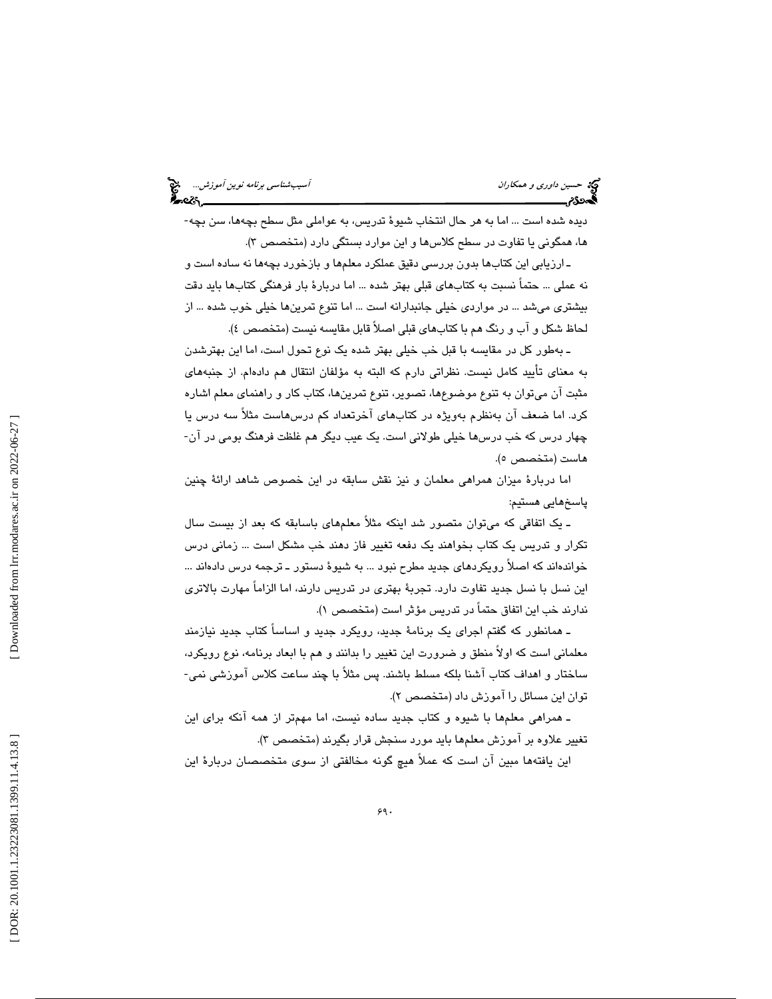حديث د*اوري و همكاران استخدام المركز و همكاران آسيبشناسي برنامه نوين آموزش...*<br>آسيبشناسي برنامه نوين آسيب المركز و المركز المركز و المركز و المركز المركز و المركز و المركز و المركز و المركز<br>آسيب المركز و المركز و المركز و

ديده شده است ... اما به هر حال انتخاب شيوة تدريس، به عواملي مثل سطح بچهها، سن بچه- ها، همگوني يا تفاوت در سطح كلاسها و اين موارد بستگي دارد (متخصص )3.

ـ ارزيابي اين كتابها بدون بررسي دقيق عملكرد معلمها و بازخورد بچهها نه ساده است و نه عملي ... حتماً نسبت به كتابهاي قبلي بهتر شده ... اما دربارة بار فرهنگي كتابها بايد دقت بيشتري ميشد ... در مواردي خيلي جانبدارانه است ... اما تنوع تمرينها خيلي خوب شده ... از لحاظ شكل و آب و رنگ هم با كتابهاي قبلي اصلاً قابل مقايسه نيست (متخصص )4.

ـ بهطور كل در مقايسه با قبل خب خيلي بهتر شده يك نوع تحول است، اما اين بهترشدن به معناي تأييد كامل نيست. نظراتي دارم كه البته به مؤلفان انتقال هم دادهام. از جنبههاي مثبت آن ميتوان به تنوع موضوعها، تصوير، تنوع تمرينها، كتاب كار و راهنماي معلم اشاره کرد. اما ضعف آن بهنظرم بهويژه در کتابهای آخرتعداد کم درسهاست مثلاً سه درس يا<br>چهار درس که خب درسها خيلي طولاني است. يک عيب ديگر هم غلظت فرهنگ بومي در آن-هاست (متخصص ٥).

اما دربارة ميزان همراهي معلمان و نيز نقش سابقه در اين خصوص شاهد ارائة چنين پاسخهايي هستيم:

ـ يك اتفاقي كه ميتوان متصور شد اينكه مثلاً معلمهاي باسابقه كه بعد از بيست سال تكرار و تدريس يك كتاب بخواهند يك دفعه تغيير فاز دهند خب مشكل است ... زماني درس خواندهاند كه اصلاً رويكردهاي جديد مطرح نبود ... به شيوة دستور ـ ترجمه درس دادهاند ... اين نسل با نسل جديد تفاوت دارد. تجربة بهتري در تدريس دارند، اما الزاماً مهارت بالاتري ندارند خب اين اتفاق حتماً در تدريس مؤثر است (متخصص )1.

ـ همانطور كه گفتم اجراي يك برنامة جديد، رويكرد جديد و اساساً كتاب جديد نيازمند معلمانی است كه اولاً منطق و ضرورت اين تغيير را بدانند و هم با ابعاد برنامه، نوع رويكرد،<br>ساختار و اهداف كتاب آشنا بلكه مسلط باشند. پس مثلاً با چند ساعت كلاس آموزشى نمى-توان اين مسائل را آموزش داد (متخصص )2.

ـ همراهي معلمها با شيوه و كتاب جديد ساده نيست، اما مهمتر از همه آنكه براي اين تغيير علاوه بر آموزش معلمها بايد مورد سنجش قرار بگيرند (متخصص )3.

اين يافتهها مبين آن است كه عملاً هيچ گونه مخالفتي از سوي متخصصان دربارة اين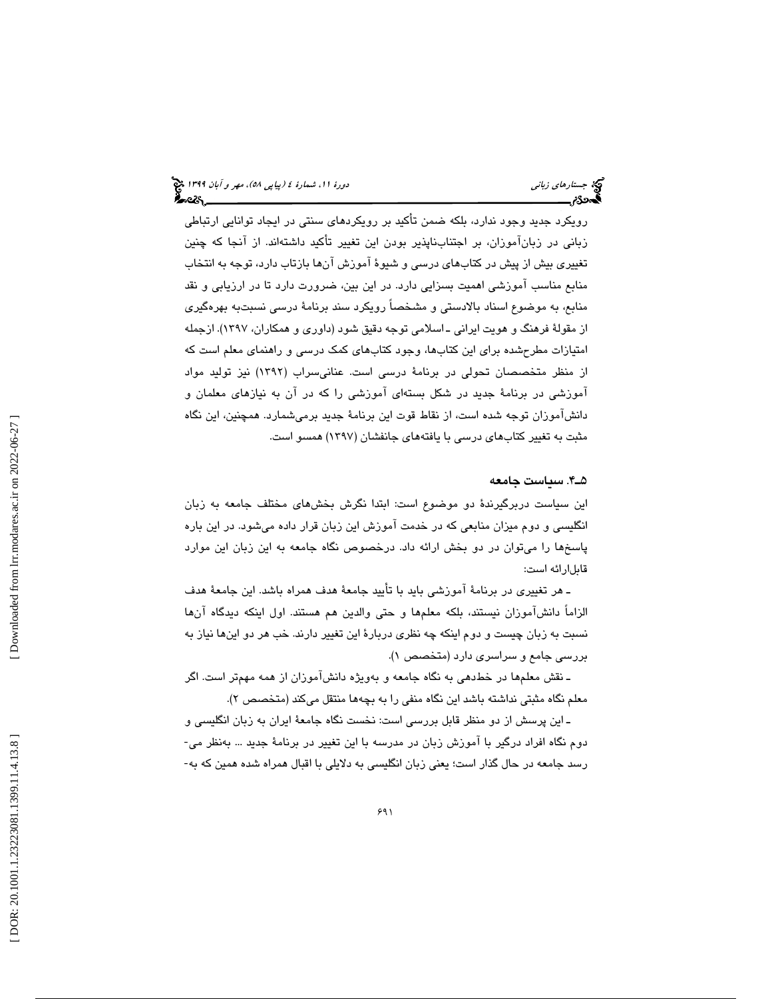رويكرد جديد وجود ندارد، بلكه ضمن تأكيد بر رويكردهاي سنتي در ايجاد توانايي ارتباطي زباني در زبانآموزان، بر اجتنابناپذير بودن اين تغيير تأكيد داشتهاند. از آنجا كه چنين تغييري بيش از پيش در كتابهاي درسي و شيوة آموزش آنها بازتاب دارد، توجه به انتخاب منابع مناسب آموزشي اهميت بسزايي دارد. در اين بين، ضرورت دارد تا در ارزيابي و نقد منابع، به موضوع اسناد بالادستي و مشخصاً رويكرد سند برنامة درسي نسبتبه بهرهگيري از مقولة فرهنگ و هويت ايراني ـ اسلامي توجه دقيق شود (داوري و همكاران، 1397). ازجمله امتيازات مطرحشده براي اين كتابها، وجود كتابهاي كمك درسي و راهنماي معلم است كه از منظر متخصصان تحولي در برنامة درسي است. عنانيسراب (1392) نيز توليد مواد آموزشي در برنامة جديد در شكل بستهاي آموزشي را كه در آن به نيازهاي معلمان و دانشآموزان توجه شده است، از نقاط قوت اين برنامة جديد برميشمارد. همچنين، اين نگاه مثبت به تغيير كتابهاي درسي با يافتههاي جانفشان (1397) همسو است.

#### 4ـ5 . سياست جامعه

اين سياست دربرگيرندة دو موضوع است: ابتدا نگرش بخشهاي مختلف جامعه به زبان انگليسي و دوم ميزان منابعي كه در خدمت آموزش اين زبان قرار داده ميشود. در اين باره پاسخها را ميتوان در دو بخش ارائه داد. درخصوص نگاه جامعه به اين زبان اين موارد قابلارائه است:

ـ هر تغييري در برنامة آموزشي بايد با تأييد جامعة هدف همراه باشد. اين جامعة هدف الزاماً دانشآموزان نيستند، بلكه معلمها و حتي والدين هم هستند. اول اينكه ديدگاه آنها نسبت به زبان چيست و دوم اينكه چه نظري دربارة اين تغيير دارند. خب هر دو اينها نياز به بررسي جامع و سراسري دارد (متخصص )1.

ـ نقش معلمها در خطدهي به نگاه جامعه و بهويژه دانشآموزان از همه مهمتر است. اگر معلم نگاه مثبتي نداشته باشد اين نگاه منفي را به بچهها منتقل ميكند (متخصص )2.

ــ این پرسش از دو منظر قابل بررسی است: نخست نگاه جامعهٔ ایران به زبان انگلیسی و<br>دوم نگاه افراد درگیر با آموزش زبان در مدرسه با این تغییر در برنامهٔ جدید ... بهنظر می-<br>رسد جامعه در حال گذار است؛ یعنی زبان انگلیسی به دلایلی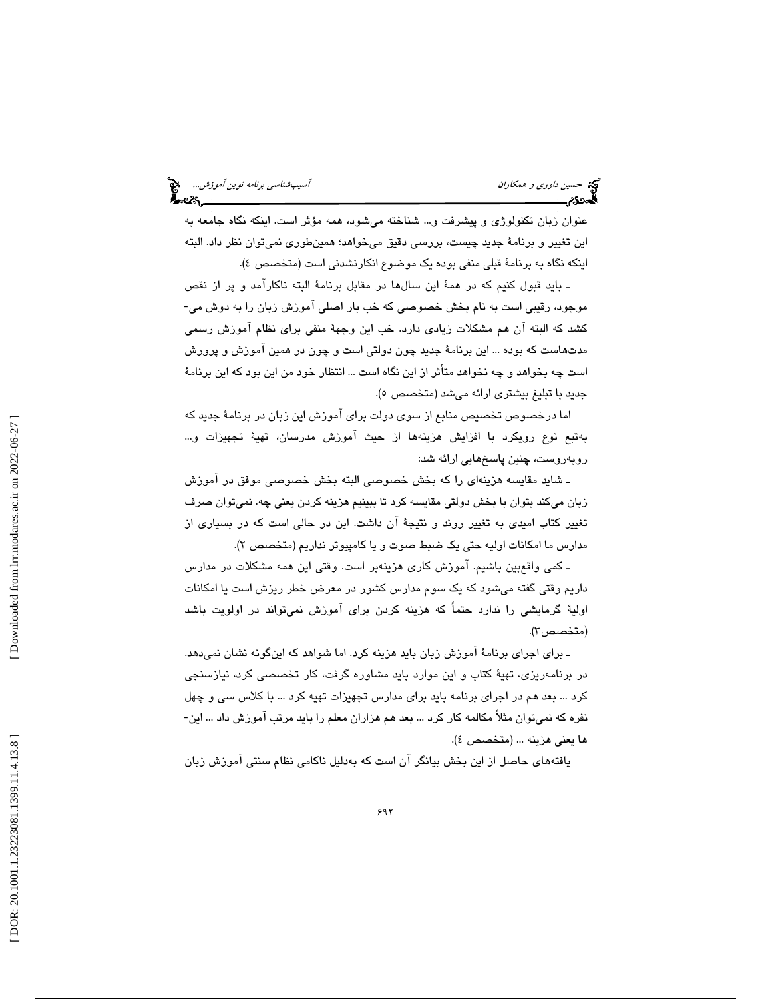حسين *داوري و همكاران آسيبشناسي برنامه نوين آموزش...*<br>آسيبشناس*ي برنامه نوين آموزش...*<br>**آسين دارن آسيب برنامه نوين آسيب برنامه نوين آسيب است... است الموارد التي تصريح الموارد التي تصريح الموارد التي** 

عنوان زبان تكنولوژي و پيشرفت و... شناخته ميشود، همه مؤثر است. اينكه نگاه جامعه به اين تغيير و برنامة جديد چيست، بررسي دقيق ميخواهد؛ همينطوري نميتوان نظر داد. البته اينكه نگاه به برنامة قبلي منفي بوده يك موضوع انكارنشدني است (متخصص )4.

ــ بايد قبول كنيم كه در همهٔ اين سالها در مقابل برنامهٔ البته ناكارآمد و پر از نقص<br>موجود، رقيبي است به نام بخش خصوصي كه خب بار اصلي آموزش زبان را به دوش مي-كشد كه البته آن هم مشكلات زيادي دارد. خب اين وجهة منفي براي نظام آموزش رسمي مدتهاست كه بوده ... اين برنامة جديد چون دولتي است و چون در همين آموزش و پرورش است چه بخواهد و چه نخواهد متأثر از اين نگاه است ... انتظار خود من اين بود كه اين برنامة جديد با تبليغ بيشتري ارائه مي شد (متخصص ٥).

اما درخصوص تخصيص منابع از سوي دولت براي آموزش اين زبان در برنامة جديد كه بهتبع نوع رويكرد با افزايش هزينهها از حيث آموزش مدرسان، تهية تجهيزات و... روبهروست، چنين پاسخهايي ارائه شد:

ـ شايد مقايسه هزينهاي را كه بخش خصوصي البته بخش خصوصي موفق در آموزش زبان ميكند بتوان با بخش دولتي مقايسه كرد تا ببينيم هزينه كردن يعني چه. نميتوان صرف تغيير كتاب اميدي به تغيير روند و نتيجة آن داشت. اين در حالي است كه در بسياري از مدارس ما امكانات اوليه حتي يك ضبط صوت و يا كامپيوتر نداريم (متخصص )2.

ـ كمي واقعبين باشيم. آموزش كاري هزينهبر است. وقتي اين همه مشكلات در مدارس داريم وقتي گفته ميشود كه يك سوم مدارس كشور در معرض خطر ريزش است يا امكانات اولية گرمايشي را ندارد حتماً كه هزينه كردن براي آموزش نميتواند در اولويت باشد (متخصص ٢).

ـ براي اجراي برنامة آموزش زبان بايد هزينه كرد. اما شواهد كه اينگونه نشان نميدهد. در برنامهريزي، تهية كتاب و اين موارد بايد مشاوره گرفت، كار تخصصي كرد، نيازسنجي كرد ... بعد هم در اجراى برنامه بايد براى مدارس تجهيزات تهيه كرد ... با كلاس سى و چهل<br>نفره كه نمىتوان مثلاً مكالمه كار كرد ... بعد هم هزاران معلم را بايد مرتب آموزش داد ... اين-ها يعني هزينه ... (متخصص )4.

يافتههاي حاصل از اين بخش بيانگر آن است كه بهدليل ناكامي نظام سنتي آموزش زبان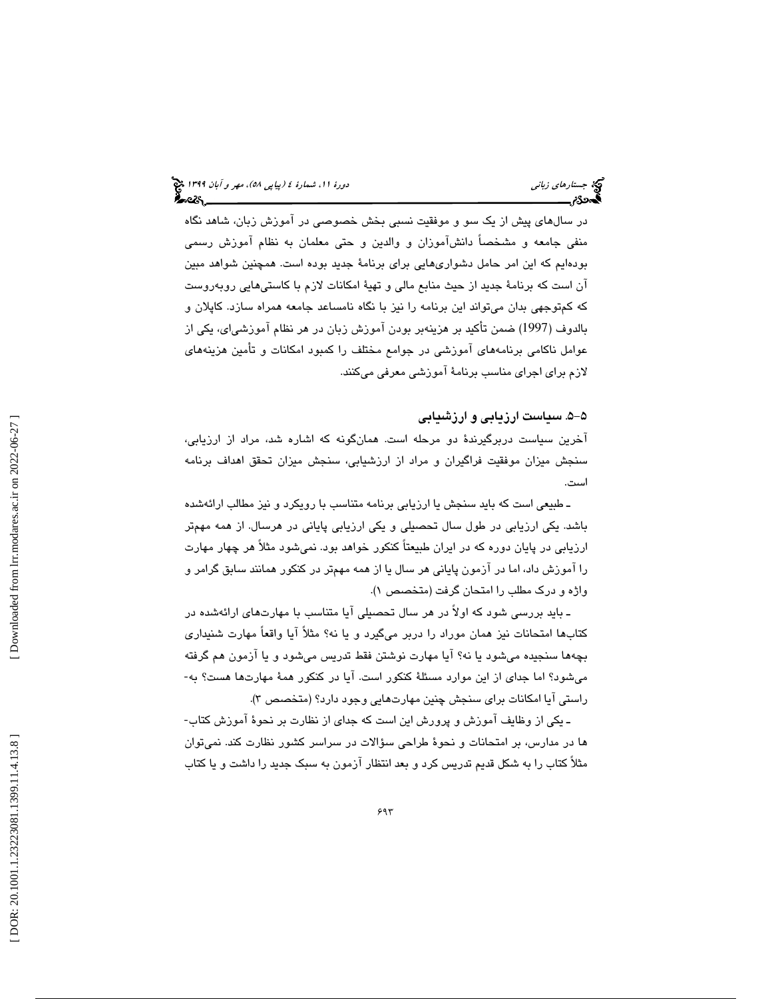در سالهاي پيش از يك سو و موفقيت نسبي بخش خصوصي در آموزش زبان، شاهد نگاه منفي جامعه و مشخصاً دانشآموزان و والدين و حتي معلمان به نظام آموزش رسمي بودهايم كه اين امر حامل دشواريهايي براي برنامة جديد بوده است. همچنين شواهد مبين آن است كه برنامة جديد از حيث منابع مالي و تهية امكانات لازم با كاستيهايي روبهروست كه كمتوجهي بدان ميتواند اين برنامه را نيز با نگاه نامساعد جامعه همراه سازد. كاپلان و بالدوف (1997) ضمن تأكيد بر هزينهبر بودن آموزش زبان در هر نظام آموزشياي، يكي از عوامل ناكامي برنامههاي آموزشي در جوامع مختلف را كمبود امكانات و تأمين هزينههاي لازم براي اجراي مناسب برنامة آموزشي معرفي ميكنند.

#### -5 5 . سياست ارزيابي و ارزشيابي

آخرين سياست دربرگيرندة دو مرحله است. همانگونه كه اشاره شد، مراد از ارزيابي، سنجش ميزان موفقيت فراگيران و مراد از ارزشيابي، سنجش ميزان تحقق اهداف برنامه است.

ـ طبيعي است كه بايد سنجش يا ارزيابي برنامه متناسب با رويكرد و نيز مطالب ارائهشده باشد. يكي ارزيابي در طول سال تحصيلي و يكي ارزيابي پاياني در هرسال. از همه مهمتر ارزيابي در پايان دوره كه در ايران طبيعتاً كنكور خواهد بود. نميشود مثلاً هر چهار مهارت را آموزش داد، اما در آزمون پاياني هر سال يا از همه مهمتر در كنكور همانند سابق گرامر و واژه و درك مطلب را امتحان گرفت (متخصص )1.

ـ بايد بررسي شود كه اولاً در هر سال تحصيلي آيا متناسب با مهارتهاي ارائهشده در كتابها امتحانات نيز همان موراد را دربر ميگيرد و يا نه؟ مثلاً آيا واقعاً مهارت شنيداري بچهها سنجیده میشود یا نه؟ آیا مهارت نوشتن فقط تدریس میشود و یا آزمون هم گرفته<br>میشود؟ اما جدای از این موارد مسئلهٔ کنکور است. آیا در کنکور همهٔ مهارتها هست؟ به-راستي آيا امكانات براي سنجش چنين مهارتهايي وجود دارد؟ (متخصص )3.

ـ يكي از وظايف آموزش و پرورش اين است كه جداي از نظارت بر نحوة آموزش كتاب- ها در مدارس، بر امتحانات و نحوة طراحي سؤالات در سراسر كشور نظارت كند. نميتوان مثلاً كتاب را به شكل قديم تدريس كرد و بعد انتظار آزمون به سبك جديد را داشت و يا كتاب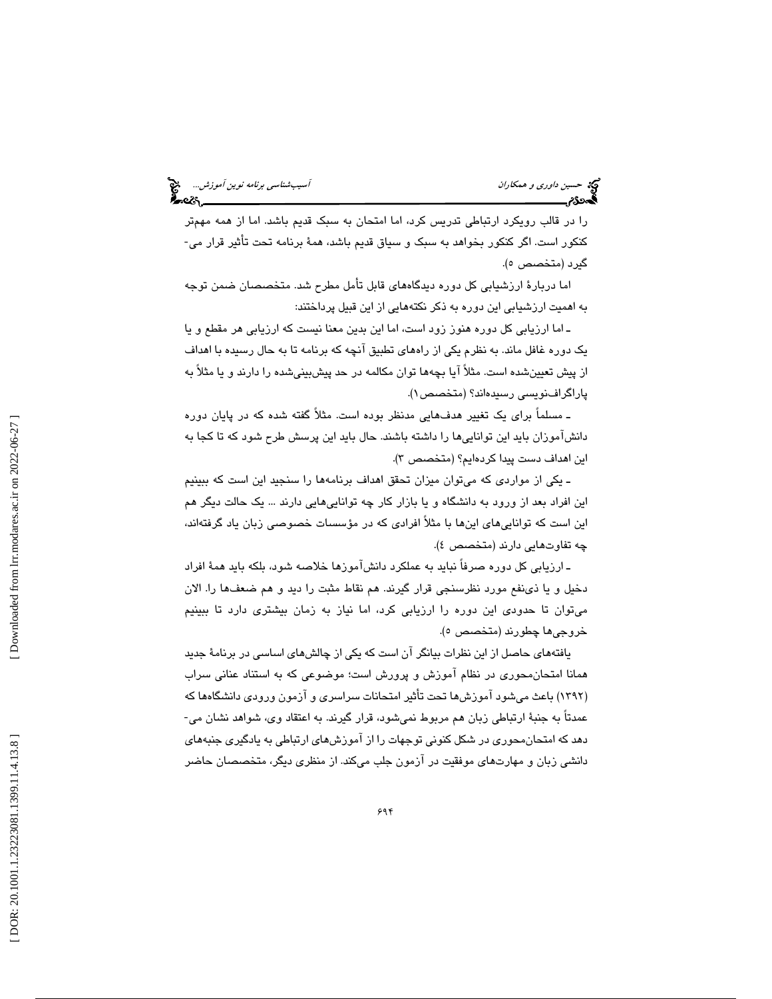را در قالب رويكرد ارتباطي تدريس كرد، اما امتحان به سبك قديم باشد. اما از همه مهمتر كنكور است. اگر كنكور بخواهد به سبك و سياق قديم باشد، همة برنامه تحت تأثير قرار مي- گيرد (متخصص ٥).

اما دربارة ارزشيابي كل دوره ديدگاههاي قابل تأمل مطرح شد. متخصصان ضمن توجه به اهميت ارزشيابي اين دوره به ذكر نكتههايي از اين قبيل پرداختند:

ـ اما ارزيابي كل دوره هنوز زود است، اما اين بدين معنا نيست كه ارزيابي هر مقطع و يا يك دوره غافل ماند. به نظرم يكي از راههاي تطبيق آنچه كه برنامه تا به حال رسيده با اهداف از پيش تعيينشده است. مثلاً آيا بچهها توان مكالمه در حد پيشبينيشده را دارند و يا مثلاً به پاراگرافنويسي رسيدهاند؟ (متخصص )1.

ـ مسلماً براي يك تغيير هدفهايي مدنظر بوده است. مثلاً گفته شده كه در پايان دوره دانشآموزان بايد اين تواناييها را داشته باشند. حال بايد اين پرسش طرح شود كه تا كجا به اين اهداف دست پيدا كردهايم؟ (متخصص )3.

ـ يكي از مواردي كه ميتوان ميزان تحقق اهداف برنامهها را سنجيد اين است كه ببينيم اين افراد بعد از ورود به دانشگاه و يا بازار كار چه تواناييهايي دارند ... يك حالت ديگر هم اين است كه تواناييهاي اينها با مثلاً افرادي كه در مؤسسات خصوصي زبان ياد گرفتهاند، چه تفاوتهايي دارند (متخصص )4.

ـ ارزيابي كل دوره صرفاً نبايد به عملكرد دانشآموزها خلاصه شود، بلكه بايد همة افراد دخيل و يا ذينفع مورد نظرسنجي قرار گيرند. هم نقاط مثبت را ديد و هم ضعفها را. الان ميتوان تا حدودي اين دوره را ارزيابي كرد، اما نياز به زمان بيشتري دارد تا ببينيم خروجي ها چطورند (متخصص ٥).

يافتههاي حاصل از اين نظرات بيانگر آن است كه يكي از چالشهاي اساسي در برنامة جديد همانا امتحانمحوري در نظام آموزش و پرورش است؛ موضوعي كه به استناد عناني سراب (١٣٩٢) باعث ميشود آموزشها تحت تأثير امتحانات سراسري و آزمون ورودي دانشگاهها كه عمدتاً به جنبة ارتباطي زبان هم مربوط نميشود، قرار گيرند. به اعتقاد وي، شواهد نشان مي- دهد كه امتحانمحوري در شكل كنوني توجهات را از آموزشهاي ارتباطي به يادگيري جنبههاي دانشي زبان و مهارتهاي موفقيت در آزمون جلب ميكند. از منظري ديگر، متخصصان حاضر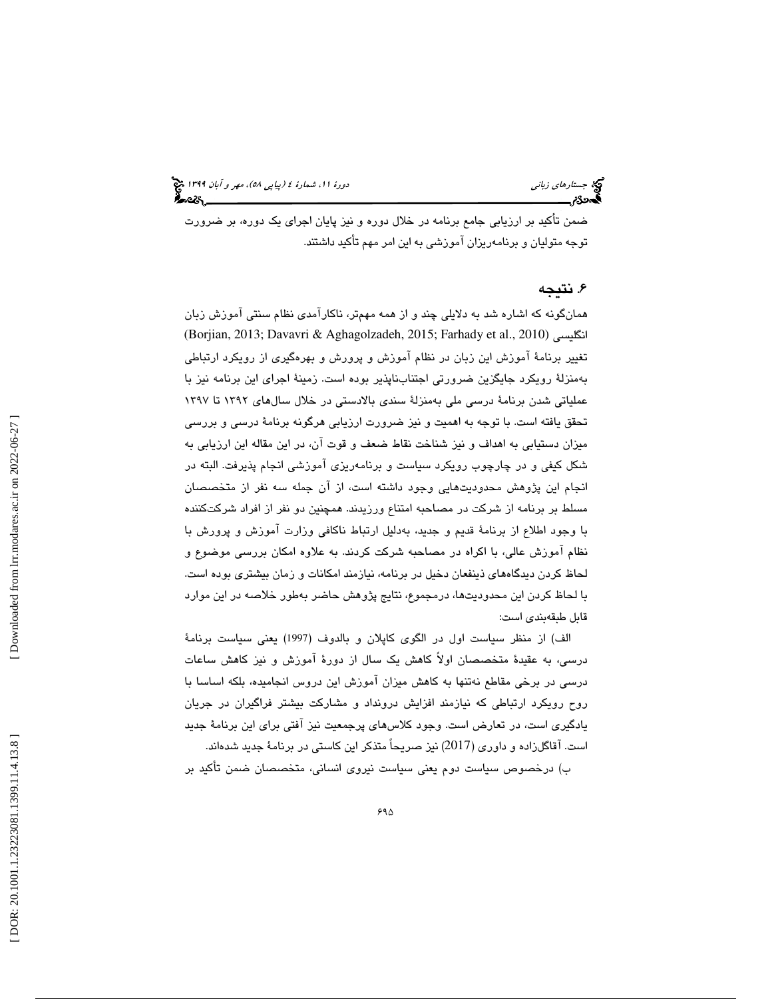ضمن تأكيد بر ارزيابي جامع برنامه در خلال دوره و نيز پايان اجراي يك دوره، بر ضرورت توجه متوليان و برنامهريزان آموزشي به اين امر مهم تأكيد داشتند.

#### . نتيجه 6

همانگونه كه اشاره شد به دلايلي چند و از همه مهمتر، ناكارآمدي نظام سنتي آموزش زبان (Borjian, 2013; Davavri & Aghagolzadeh, 2015; Farhady et al., 2010) انگليسي تغيير برنامة آموزش اين زبان در نظام آموزش و پرورش و بهرهگيري از رويكرد ارتباطي بهمنزلة رويكرد جايگزين ضرورتي اجتنابناپذير بوده است. زمينة اجراي اين برنامه نيز با عملياتي شدن برنامة درسي ملي بهمنزلة سندي بالادستي در خلال سالهاي 1392 تا 1397 تحقق يافته است. با توجه به اهميت و نيز ضرورت ارزيابي هرگونه برنامة درسي و بررسي ميزان دستيابي به اهداف و نيز شناخت نقاط ضعف و قوت آن، در اين مقاله اين ارزيابي به شكل كيفي و در چارچوب رويكرد سياست و برنامهريزي آموزشي انجام پذيرفت. البته در انجام اين پژوهش محدوديتهايي وجود داشته است، از آن جمله سه نفر از متخصصان مسلط بر برنامه از شركت در مصاحبه امتناع ورزيدند. همچنين دو نفر از افراد شركتكننده با وجود اطلاع از برنامة قديم و جديد، بهدليل ارتباط ناكافي وزارت آموزش و پرورش با نظام آموزش عالي، با اكراه در مصاحبه شركت كردند. به علاوه امكان بررسي موضوع و لحاظ كردن ديدگاههاي ذينفعان دخيل در برنامه، نيازمند امكانات و زمان بيشتري بوده است. با لحاظ كردن اين محدوديتها، درمجموع، نتايج پژوهش حاضر بهطور خلاصه در اين موارد قابل طبقهبندي است:

الف) از منظر سياست اول در الگوي كاپلان و بالدوف (1997) يعني سياست برنامة درسي، به عقيدة متخصصان اولاً كاهش يك سال از دورة آموزش و نيز كاهش ساعات درسي در برخي مقاطع نهتنها به كاهش ميزان آموزش اين دروس انجاميده، بلكه اساسا با روح رويكرد ارتباطي كه نيازمند افزايش درونداد و مشاركت بيشتر فراگيران در جريان يادگيري است، در تعارض است. وجود كلاسهاي پرجمعيت نيز آفتي براي اين برنامة جديد است. آقاگلزاده و داوري (2017) نيز صريحاً متذكر اين كاستي در برنامة جديد شدهاند.

ب) درخصوص سياست دوم يعني سياست نيروي انساني، متخصصان ضمن تأكيد بر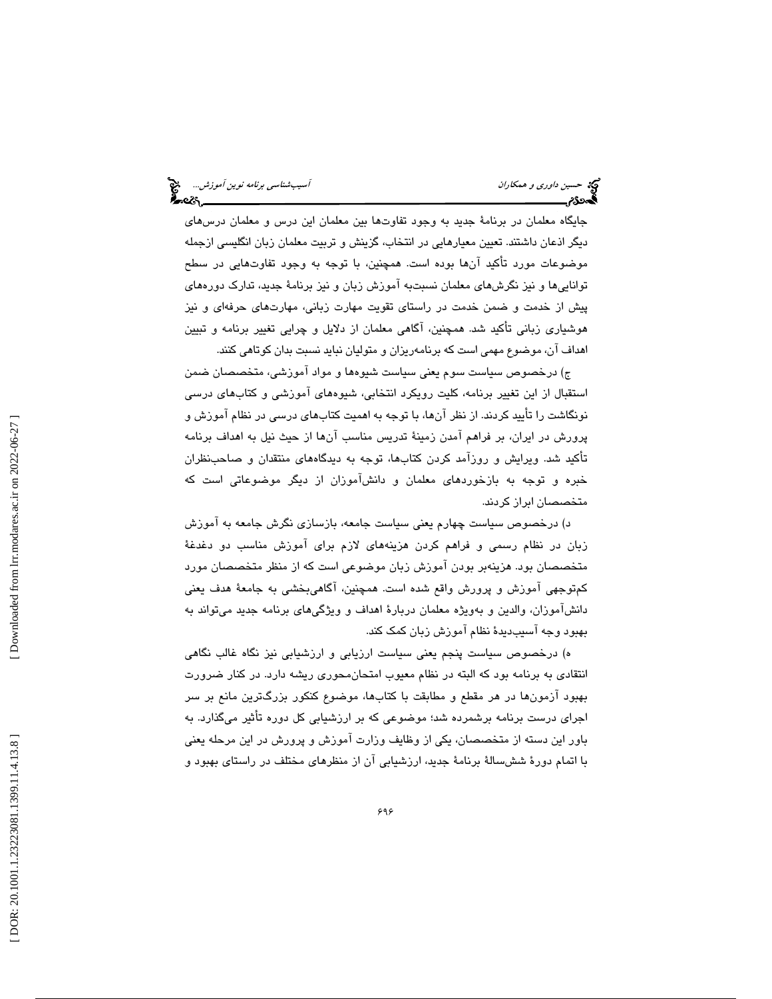جايگاه معلمان در برنامة جديد به وجود تفاوتها بين معلمان اين درس و معلمان درسهاي ديگر اذعان داشتند. تعيين معيارهايي در انتخاب، گزينش و تربيت معلمان زبان انگليسي ازجمله موضوعات مورد تأكيد آنها بوده است. همچنين، با توجه به وجود تفاوتهايي در سطح تواناييها و نيز نگرشهاي معلمان نسبتبه آموزش زبان و نيز برنامة جديد، تدارك دورههاي پيش از خدمت و ضمن خدمت در راستاي تقويت مهارت زباني، مهارتهاي حرفهاي و نيز هوشياري زباني تأكيد شد. همچنين، آگاهي معلمان از دلايل و چرايي تغيير برنامه و تبيين اهداف آن، موضوع مهمي است كه برنامهريزان و متوليان نبايد نسبت بدان كوتاهي كنند.

ج) درخصوص سياست سوم يعني سياست شيوهها و مواد آموزشي، متخصصان ضمن استقبال از اين تغيير برنامه، كليت رويكرد انتخابي، شيوههاي آموزشي و كتابهاي درسي نونگاشت را تأييد كردند. از نظر آنها، با توجه به اهميت كتابهاي درسي در نظام آموزش و پرورش در ايران، بر فراهم آمدن زمينة تدريس مناسب آنها از حيث نيل به اهداف برنامه تأكيد شد. ويرايش و روزآمد كردن كتابها، توجه به ديدگاههاي منتقدان و صاحبنظران خبره و توجه به بازخوردهاي معلمان و دانشآموزان از ديگر موضوعاتي است كه متخصصان ابراز كردند.

د) درخصوص سياست چهارم يعني سياست جامعه، بازسازي نگرش جامعه به آموزش زبان در نظام رسمي و فراهم كردن هزينههاي لازم براي آموزش مناسب دو دغدغة متخصصان بود. هزينهبر بودن آموزش زبان موضوعي است كه از منظر متخصصان مورد كمتوجهي آموزش و پرورش واقع شده است. همچنين، آگاهيبخشي به جامعة هدف يعني دانشآموزان، والدين و بهويژه معلمان دربارة اهداف و ويژگيهاي برنامه جديد ميتواند به بهبود وجه آسيبديدهٔ نظام آموزش زبان كمک کند.

ه) درخصوص سياست پنجم يعني سياست ارزيابي و ارزشيابي نيز نگاه غالب نگاهي انتقادي به برنامه بود كه البته در نظام معيوب امتحانمحوري ريشه دارد. در كنار ضرورت بهبود آزمونها در هر مقطع و مطابقت با كتابها، موضوع كنكور بزرگترين مانع بر سر اجراي درست برنامه برشمرده شد؛ موضوعي كه بر ارزشيابي كل دوره تأثير ميگذارد. به باور اين دسته از متخصصان، يكي از وظايف وزارت آموزش و پرورش در اين مرحله يعني با اتمام دورة ششسالة برنامة جديد، ارزشيابي آن از منظرهاي مختلف در راستاي بهبود و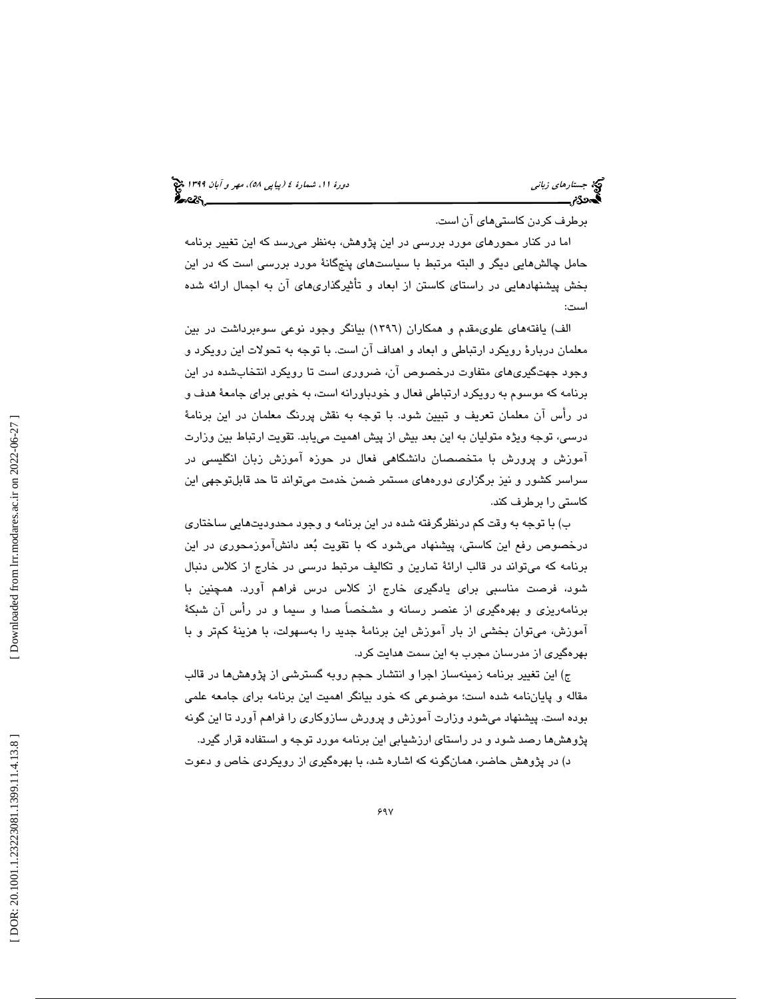## (پياپي 58)، مهر و آبان 1399 جستارهاي زباني دورة ،11 شمارة 4

برطرف كردن كاستيهاي آن است.

اما در كنار محورهاي مورد بررسي در اين پژوهش، بهنظر ميرسد كه اين تغيير برنامه حامل چالشهايي ديگر و البته مرتبط با سياستهاي پنجگانة مورد بررسي است كه در اين بخش پيشنهادهايي در راستاي كاستن از ابعاد و تأثيرگذاريهاي آن به اجمال ارائه شده است:

الف) يافتههاي علويمقدم و همكاران (1396) بيانگر وجود نوعي سوءبرداشت در بين معلمان دربارة رويكرد ارتباطي و ابعاد و اهداف آن است. با توجه به تحولات اين رويكرد و وجود جهتگيريهاي متفاوت درخصوص آن، ضروري است تا رويكرد انتخابشده در اين برنامه كه موسوم به رويكرد ارتباطي فعال و خودباورانه است، به خوبي براي جامعة هدف و در رأس آن معلمان تعريف و تبيين شود. با توجه به نقش پررنگ معلمان در اين برنامة درسي، توجه ويژه متوليان به اين بعد بيش از پيش اهميت مييابد. تقويت ارتباط بين وزارت آموزش و پرورش با متخصصان دانشگاهي فعال در حوزه آموزش زبان انگليسي در سراسر كشور و نيز برگزاري دورههاي مستمر ضمن خدمت ميتواند تا حد قابلتوجهي اين كاستي را برطرف كند.

ب) با توجه به وقت كم درنظرگرفته شده در اين برنامه و وجود محدوديتهايي ساختاري درخصوص رفع اين كاستي، پيشنهاد ميشود كه با تقويت بعد دانشآموزمحوري در اين برنامه كه ميتواند در قالب ارائة تمارين و تكاليف مرتبط درسي در خارج از كلاس دنبال شود، فرصت مناسبي براي يادگيري خارج از كلاس درس فراهم آورد. همچنين با برنامهريزي و بهرهگيري از عنصر رسانه و مشخصاً صدا و سيما و در رأس آن شبكة آموزش، ميتوان بخشي از بار آموزش اين برنامة جديد را بهسهولت، با هزينة كمتر و با بهرهگيري از مدرسان مجرب به اين سمت هدايت كرد.

ج) اين تغيير برنامه زمينهساز اجرا و انتشار حجم روبه گسترشي از پژوهشها در قالب مقاله و پاياننامه شده است؛ موضوعي كه خود بيانگر اهميت اين برنامه براي جامعه علمي بوده است. پيشنهاد ميشود وزارت آموزش و پرورش سازوكاري را فراهم آورد تا اين گونه پژوهشها رصد شود و در راستاي ارزشيابي اين برنامه مورد توجه و استفاده قرار گيرد.

د) در پژوهش حاضر، همانگونه كه اشاره شد، با بهرهگيري از رويكردي خاص و دعوت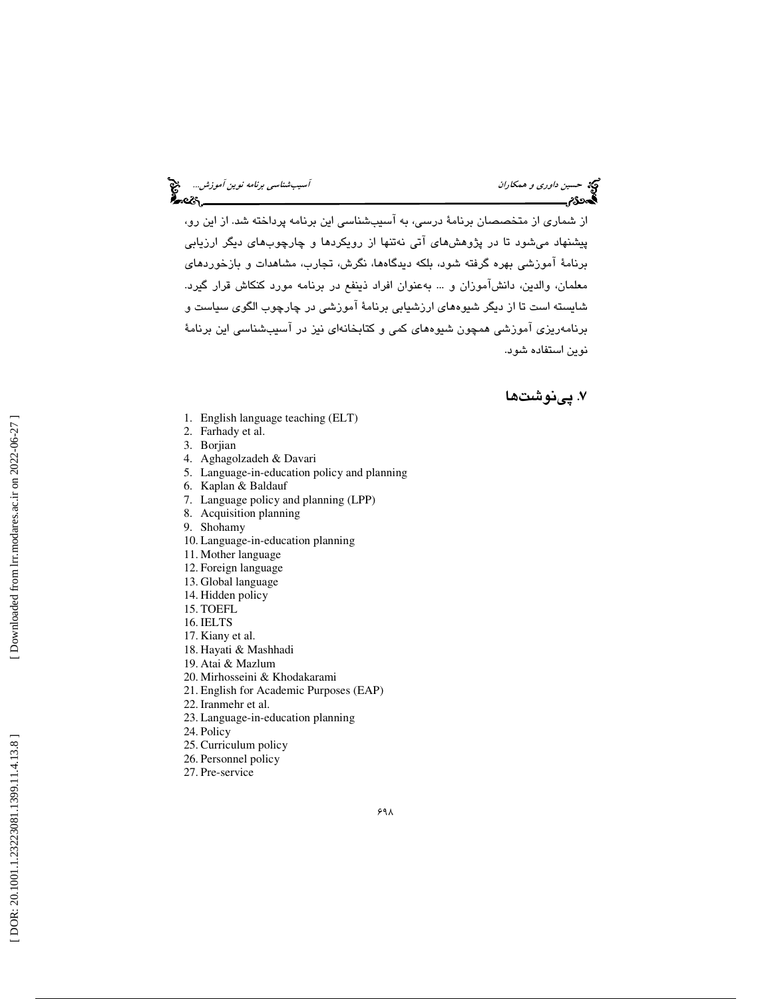از شماري از متخصصان برنامة درسي، به آسيبشناسي اين برنامه پرداخته شد. از اين رو، پيشنهاد ميشود تا در پژوهشهاي آتي نهتنها از رويكردها و چارچوبهاي ديگر ارزيابي برنامة آموزشي بهره گرفته شود، بلكه ديدگاهها، نگرش، تجارب، مشاهدات و بازخوردهاي معلمان، والدين، دانشآموزان و ... بهعنوان افراد ذينفع در برنامه مورد كنكاش قرار گيرد. شايسته است تا از ديگر شيوههاي ارزشيابي برنامة آموزشي در چارچوب الگوي سياست و برنامهريزي آموزشي همچون شيوههاي كمي و كتابخانهاي نيز در آسيبشناسي اين برنامة نوين استفاده شود.

. پينوشت ها 7

- 1. English language teaching (ELT)
- 2. Farhady et al.
- 3. Borjian
- 4. Aghagolzadeh & Davari
- 5. Language-in-education policy and planning
- 6. Kaplan & Baldauf
- 7. Language policy and planning (LPP)
- 8. Acquisition planning
- 9. Shohamy
- 10. Language-in-education planning
- 11. Mother language
- 12. Foreign language
- 13. Global language
- 14. Hidden policy
- 15. TOEFL
- 16. IELTS
- 17. Kiany et al.
- 18. Hayati & Mashhadi
- 19. Atai & Mazlum
- 20. Mirhosseini & Khodakarami
- 21. English for Academic Purposes (EAP)
- 22. Iranmehr et al.
- 23. Language-in-education planning
- 24. Policy
- 25. Curriculum policy
- 26. Personnel policy
- 27. Pre-service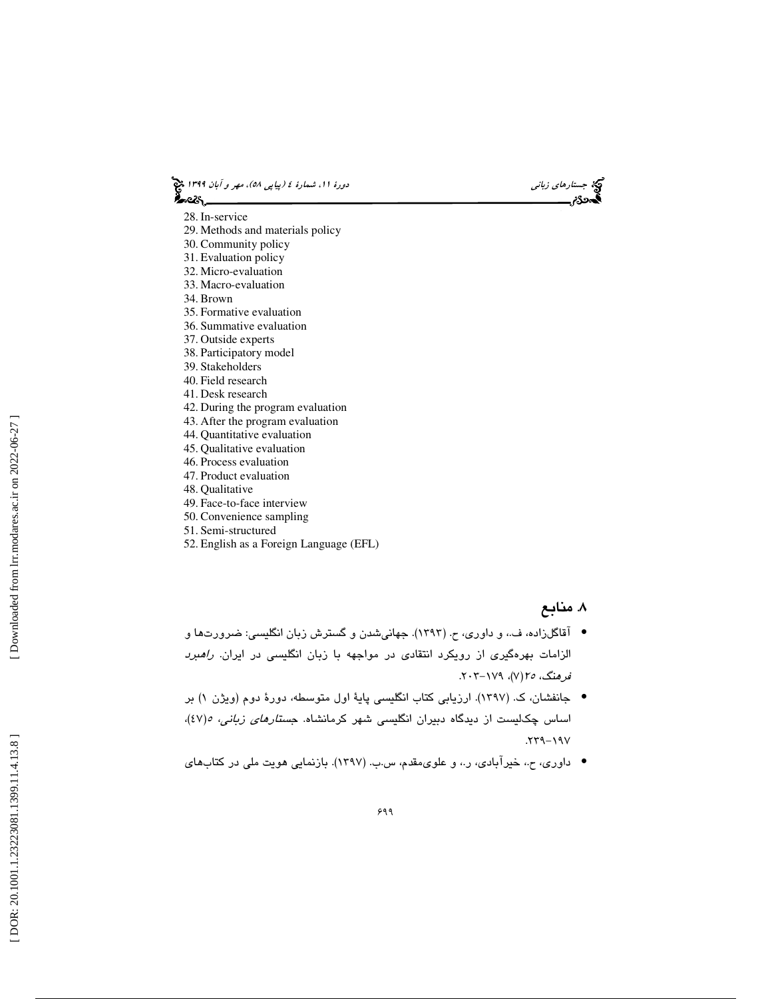(پياپي 58)، مهر و آبان 1399 جستارهاي زباني دورة ،11 شمارة 4

28. In-service

- 29. Methods and materials policy
- 30. Community policy
- 31. Evaluation policy
- 32. Micro-evaluation
- 33. Macro-evaluation
- 34. Brown
- 35. Formative evaluation
- 36. Summative evaluation
- 37. Outside experts
- 38. Participatory model
- 39. Stakeholders 40. Field research
- 41. Desk research
- 
- 42. During the program evaluation
- 43. After the program evaluation
- 44. Quantitative evaluation 45. Qualitative evaluation
- 46. Process evaluation
- 47. Product evaluation
- 48. Qualitative
- 49. Face-to-face interview
- 50. Convenience sampling
- 51. Semi-structured
- 52. English as a Foreign Language (EFL)

#### . منابع 8

- آقاگلزاده، ف،. و داوري، ح. (1393). جهانيشدن و گسترش زبان انگليسي: ضرورتها و الزامات بهرهگيري از رويكرد انتقادي در مواجهه با زبان انگليسي در ايران. راهبرد فرهنگ، 7(٧)، ١٧٩-٢٠٣.
- ) بر جانفشان، ك. (1397). ارزيابي كتاب انگليسي پاية اول متوسطه، دورة دوم (ويژن 1 اساس چکالیست از دیدگاه دبیران انگلیسی شهر کرمانشاه. ج*ستارهای زبانی، ه(٤٧)*، . 239 -197
- داوري، ح،. خيرآبادي، ر،. و علويمقدم، س.ب. (1397). بازنمايي هويت ملي در كتابهاي •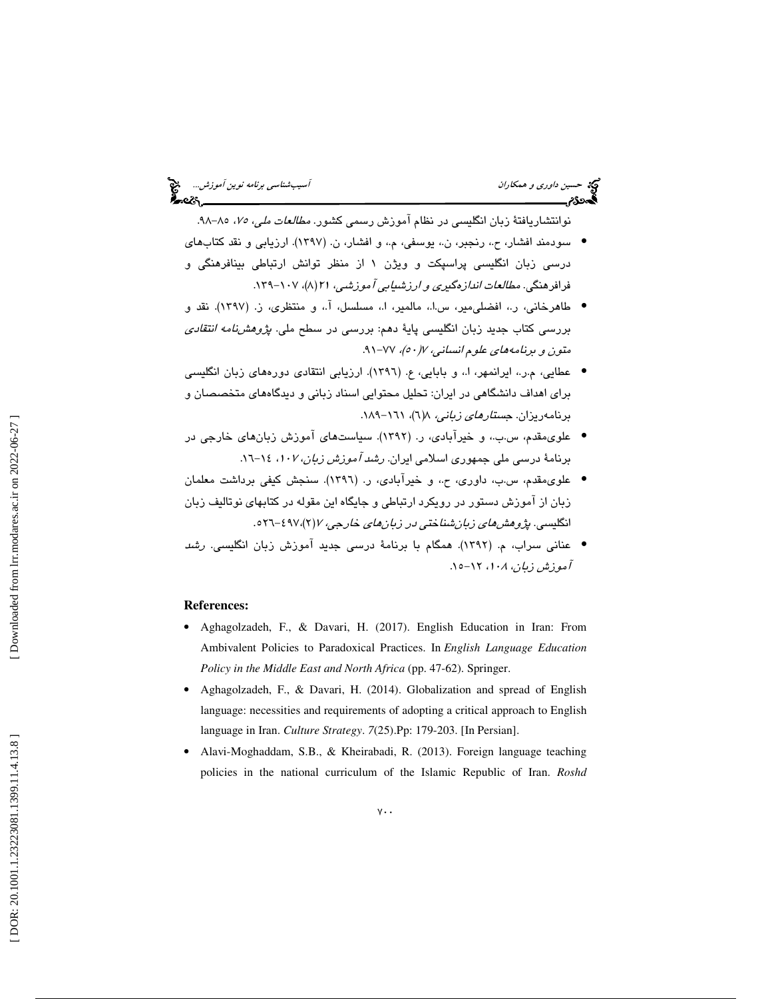# حديث د*اوري و همكاران آسيبشناسي برنامه نوين آموزش...*<br>آسيب شناسي برنامه نوين آموزش...<br>**آسيدرد: آسيب المر**د العربي المرد العربي المرد العربي المرد العربي المرد العربي المرد العربي المرد العربي المرد

نوانتشاريافتهٔ زبان انگليسي در نظام آموزش رسمي كشور. *مطالعات ملي، ۷۵*، ۸۵–۹۸. سودمند افشار، ح،. رنجبر، ن،. يوسفي، م،. و افشار، ن. ( 1397). ارزيابي و نقد كتابهاي •

- درسی زبان انگلیسی پراسپکت و ویژن ۱ از منظر توانش ارتباطی بینافرهنگی و فرافرهنگي. *مطالعات اندازهگيري و ارزشيابي آموزشي، ۲۱ (* ۱/ )، ۱۰۷-۱۳۹.
- طاهرخاني، ر،. افضليمير، س.ا،. مالمير، ا،. مسلسل، آ،. و منتظري، ز. (1397). نقد و بررسي كتاب جديد زبان انگليسي پايهٔ دهم: بررسي در سطح ملي. *پژوهشنامه انتقادي* متون و برنامههاي علوم انساني، ٧/ ٥٠)، ٧٧-٩١.
- عطايي، م.ر،. ايرانمهر، ا،. و بابايي، ع. (1396). ارزيابي انتقادي دورههاي زبان انگليسي براي اهداف دانشگاهي در ايران: تحليل محتوايي اسناد زباني و ديدگاههاي متخصصان و برنامهريزان. جستارهاي زباني، 6(8 )، -161 189 .
- علويمقدم، س.ب،. و خيرآبادي، ر. (1392). سياستهاي آموزش زبانهاي خارجي در برنامهٔ درسی ملی جمهوری اسلامی ایران. *رشد آموزش زبان، ۱۰۷-* ۱۶-۱۲.
- علويمقدم، س.ب، داوري، ح،. و خيرآبادي، ر. (1396). سنجش كيفي برداشت معلمان زبان از آموزش دستور در رويكرد ارتباطي و جايگاه اين مقوله در كتابهاي نوتاليف زبان انگليسي. پژو*هش هاي زبان شناختي در زبان هاي خارجي، ۷ (۲)، ۶۹۷-*۶۶۱.
- عناني سراب، م. (1392). همگام با برنامة درسي جديد آموزش زبان انگليسي. رشد آموزش زبان، ۱۰۸، ۱۲-۱۵.

#### **References:**

- Aghagolzadeh, F., & Davari, H. (2017). English Education in Iran: From Ambivalent Policies to Paradoxical Practices. In *English Language Education Policy in the Middle East and North Africa* (pp. 47-62). Springer.
- Aghagolzadeh, F., & Davari, H. (2014). Globalization and spread of English language: necessities and requirements of adopting a critical approach to English language in Iran. *Culture Strategy*. *7*(25).Pp: 179-203. [In Persian].
- Alavi-Moghaddam, S.B., & Kheirabadi, R. (2013). Foreign language teaching policies in the national curriculum of the Islamic Republic of Iran. *Roshd*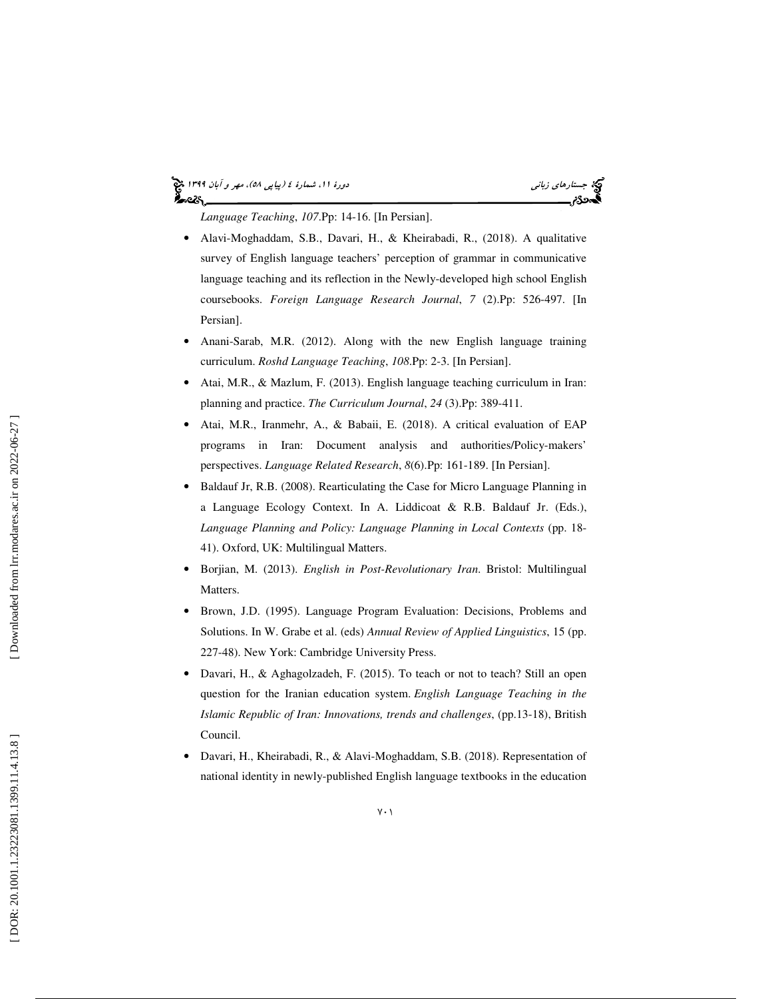# (پياپي 58)، مهر و آبان 1399 جستارهاي زباني دورة ،11 شمارة 4

*Language Teaching*, *107*.Pp: 14-16. [In Persian].

- Alavi-Moghaddam, S.B., Davari, H., & Kheirabadi, R., (2018). A qualitative survey of English language teachers' perception of grammar in communicative language teaching and its reflection in the Newly-developed high school English coursebooks. *Foreign Language Research Journal*, *7* (2).Pp: 526-497. [In Persian].
- Anani-Sarab, M.R. (2012). Along with the new English language training curriculum. *Roshd Language Teaching*, *108*.Pp: 2-3. [In Persian].
- Atai, M.R., & Mazlum, F. (2013). English language teaching curriculum in Iran: planning and practice. *The Curriculum Journal*, *24* (3).Pp: 389-411.
- Atai, M.R., Iranmehr, A., & Babaii, E. (2018). A critical evaluation of EAP programs in Iran: Document analysis and authorities/Policy-makers' perspectives. *Language Related Research*, *8*(6).Pp: 161-189. [In Persian].
- Baldauf Jr, R.B. (2008). Rearticulating the Case for Micro Language Planning in a Language Ecology Context. In A. Liddicoat & R.B. Baldauf Jr. (Eds.), *Language Planning and Policy: Language Planning in Local Contexts* (pp. 18- 41). Oxford, UK: Multilingual Matters.
- Borjian, M. (2013). *English in Post-Revolutionary Iran*. Bristol: Multilingual Matters.
- Brown, J.D. (1995). Language Program Evaluation: Decisions, Problems and Solutions. In W. Grabe et al. (eds) *Annual Review of Applied Linguistics*, 15 (pp. 227-48). New York: Cambridge University Press.
- Davari, H., & Aghagolzadeh, F. (2015). To teach or not to teach? Still an open question for the Iranian education system. *English Language Teaching in the Islamic Republic of Iran: Innovations, trends and challenges*, (pp.13-18), British Council.
- Davari, H., Kheirabadi, R., & Alavi-Moghaddam, S.B. (2018). Representation of national identity in newly-published English language textbooks in the education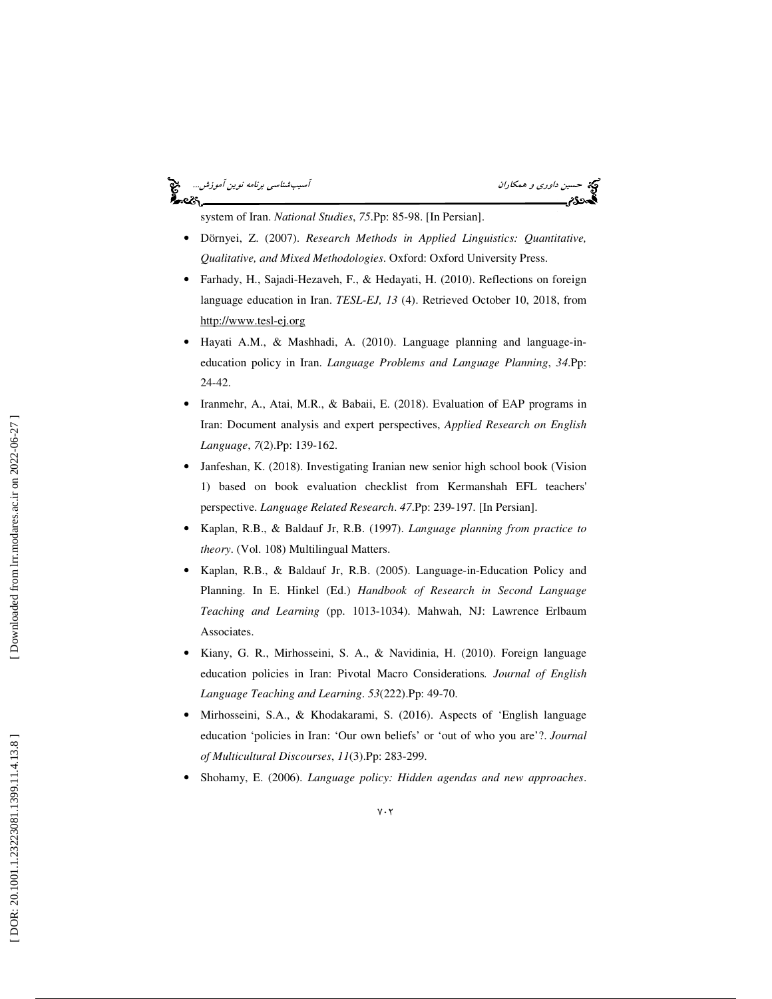# حکة حسين *داوري و همكاران* آسيبشناس*ي برنامه نوين آموزش...*<br>گ**حدد؟**م



system of Iran. *National Studies*, *75*.Pp: 85-98. [In Persian].

- Dörnyei, Z. (2007). *Research Methods in Applied Linguistics: Quantitative, Qualitative, and Mixed Methodologies*. Oxford: Oxford University Press.
- Farhady, H., Sajadi-Hezaveh, F., & Hedayati, H. (2010). Reflections on foreign language education in Iran. *TESL-EJ, 13* (4). Retrieved October 10, 2018, from http://www.tesl-ej.org
- Hayati A.M., & Mashhadi, A. (2010). Language planning and language-ineducation policy in Iran. *Language Problems and Language Planning*, *34*.Pp: 24-42.
- Iranmehr, A., Atai, M.R., & Babaii, E. (2018). Evaluation of EAP programs in Iran: Document analysis and expert perspectives, *Applied Research on English Language*, *7*(2).Pp: 139-162.
- Janfeshan, K. (2018). Investigating Iranian new senior high school book (Vision 1) based on book evaluation checklist from Kermanshah EFL teachers' perspective. *Language Related Research*. *47*.Pp: 239-197. [In Persian].
- Kaplan, R.B., & Baldauf Jr, R.B. (1997). *Language planning from practice to theory*. (Vol. 108) Multilingual Matters.
- Kaplan, R.B., & Baldauf Jr, R.B. (2005). Language-in-Education Policy and Planning. In E. Hinkel (Ed.) *Handbook of Research in Second Language Teaching and Learning* (pp. 1013-1034). Mahwah, NJ: Lawrence Erlbaum Associates.
- Kiany, G. R., Mirhosseini, S. A., & Navidinia, H. (2010). Foreign language education policies in Iran: Pivotal Macro Considerations*. Journal of English Language Teaching and Learning*. *53*(222).Pp: 49-70.
- Mirhosseini, S.A., & Khodakarami, S. (2016). Aspects of 'English language education 'policies in Iran: 'Our own beliefs' or 'out of who you are'?. *Journal of Multicultural Discourses*, *11*(3).Pp: 283-299.
- Shohamy, E. (2006). *Language policy: Hidden agendas and new approaches*.